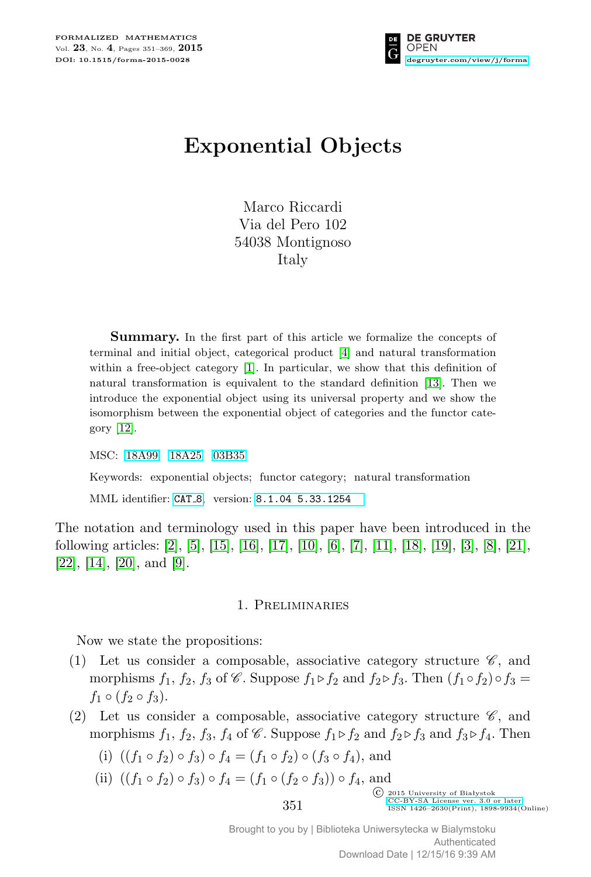

# **Exponential Objects**

Marco Riccardi Via del Pero 102 54038 Montignoso Italy

**Summary.** In the first part of this article we formalize the concepts of terminal and initial object, categorical product [\[4\]](#page-18-0) and natural transformation within a free-object category [\[1\]](#page-18-1). In particular, we show that this definition of natural transformation is equivalent to the standard definition [\[13\]](#page-18-2). Then we introduce the exponential object using its universal property and we show the isomorphism between the exponential object of categories and the functor category [\[12\]](#page-18-3).

MSC: [18A99](http://zbmath.org/classification/?q=cc:18A99) [18A25](http://zbmath.org/classification/?q=cc:18A25) [03B35](http://zbmath.org/classification/?q=cc:03B35)

Keywords: exponential objects; functor category; natural transformation

MML identifier: [CAT](http://fm.mizar.org/miz/cat_8.miz) 8, version: [8.1.04 5.33.1254](http://ftp.mizar.org/)

The notation and terminology used in this paper have been introduced in the following articles: [\[2\]](#page-18-4), [\[5\]](#page-18-5), [\[15\]](#page-18-6), [\[16\]](#page-18-7), [\[17\]](#page-18-8), [\[10\]](#page-18-9), [\[6\]](#page-18-10), [\[7\]](#page-18-11), [\[11\]](#page-18-12), [\[18\]](#page-18-13), [\[19\]](#page-18-14), [\[3\]](#page-18-15), [\[8\]](#page-18-16), [\[21\]](#page-18-17),  $[22]$ ,  $[14]$ ,  $[20]$ , and  $[9]$ .

#### 1. Preliminaries

Now we state the propositions:

- (1) Let us consider a composable, associative category structure  $\mathscr{C}$ , and morphisms  $f_1$ ,  $f_2$ ,  $f_3$  of  $\mathscr C$ . Suppose  $f_1 \triangleright f_2$  and  $f_2 \triangleright f_3$ . Then  $(f_1 \circ f_2) \circ f_3 =$  $f_1 \circ (f_2 \circ f_3).$
- (2) Let us consider a composable, associative category structure  $\mathscr{C}$ , and morphisms  $f_1$ ,  $f_2$ ,  $f_3$ ,  $f_4$  of  $\mathscr{C}$ . Suppose  $f_1 \triangleright f_2$  and  $f_2 \triangleright f_3$  and  $f_3 \triangleright f_4$ . Then
	- (i)  $((f_1 \circ f_2) \circ f_3) \circ f_4 = (f_1 \circ f_2) \circ (f_3 \circ f_4)$ , and
	- (ii)  $((f_1 \circ f_2) \circ f_3) \circ f_4 = (f_1 \circ (f_2 \circ f_3)) \circ f_4$ , and

C 2015 University of Białystok<br>CC-BY-SA License ver. 3.0 or later  $351$  [CC-BY-SA License ver. 3.0 or later](http://creativecommons.org/licenses/by-sa/3.0/)<br>  $1551$  ISSN 1426-2630(Print), 1898-9934(Online)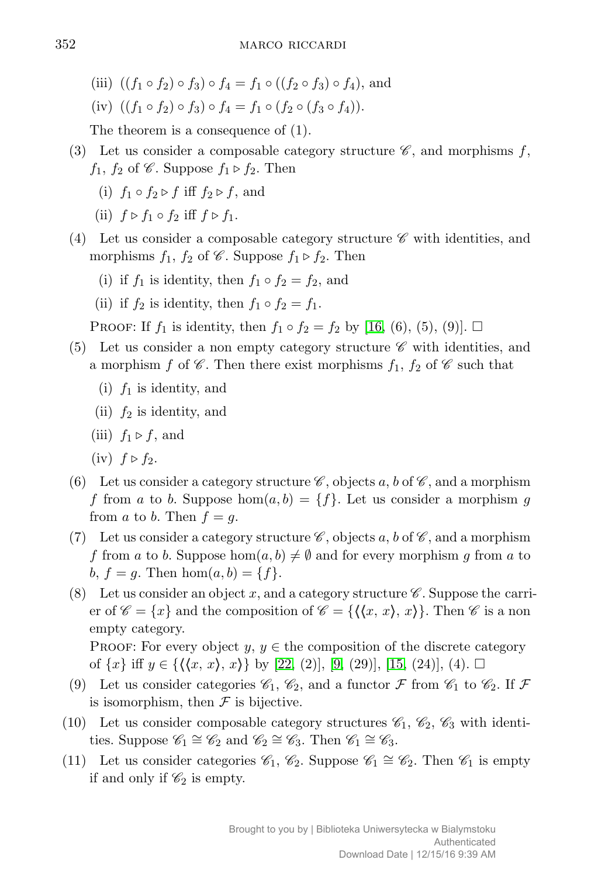(iii)  $((f_1 \circ f_2) \circ f_3) \circ f_4 = f_1 \circ ((f_2 \circ f_3) \circ f_4)$ , and

(iv) 
$$
((f_1 \circ f_2) \circ f_3) \circ f_4 = f_1 \circ (f_2 \circ (f_3 \circ f_4)).
$$

The theorem is a consequence of (1).

- (3) Let us consider a composable category structure  $\mathscr{C}$ , and morphisms  $f$ ,  $f_1, f_2$  of  $\mathscr C$ . Suppose  $f_1 \triangleright f_2$ . Then
	- (i)  $f_1 \circ f_2 \triangleright f$  iff  $f_2 \triangleright f$ , and
	- (ii)  $f \triangleright f_1 \circ f_2$  iff  $f \triangleright f_1$ .
- (4) Let us consider a composable category structure  $\mathscr C$  with identities, and morphisms  $f_1$ ,  $f_2$  of  $\mathscr C$ . Suppose  $f_1 \triangleright f_2$ . Then
	- (i) if  $f_1$  is identity, then  $f_1 \circ f_2 = f_2$ , and
	- (ii) if  $f_2$  is identity, then  $f_1 \circ f_2 = f_1$ .

PROOF: If  $f_1$  is identity, then  $f_1 ∘ f_2 = f_2$  by [\[16,](#page-18-7) (6), (5), (9)]. □

- (5) Let us consider a non empty category structure  $\mathscr C$  with identities, and a morphism *f* of  $\mathscr C$ . Then there exist morphisms  $f_1, f_2$  of  $\mathscr C$  such that
	- (i) *f*<sup>1</sup> is identity, and
	- (ii) *f*<sup>2</sup> is identity, and
	- (iii)  $f_1 \triangleright f$ , and
	- $(iv)$   $f \triangleright f_2$ .
- (6) Let us consider a category structure  $\mathscr C$ , objects a, b of  $\mathscr C$ , and a morphism *f* from *a* to *b*. Suppose hom $(a, b) = \{f\}$ . Let us consider a morphism *g* from *a* to *b*. Then  $f = g$ .
- (7) Let us consider a category structure  $\mathscr{C}$ , objects a, b of  $\mathscr{C}$ , and a morphism *f* from *a* to *b*. Suppose hom $(a, b) \neq \emptyset$  and for every morphism *g* from *a* to *b*,  $f = g$ . Then  $hom(a, b) = \{f\}$ .
- (8) Let us consider an object x, and a category structure  $\mathscr C$ . Suppose the carrier of  $\mathscr{C} = \{x\}$  and the composition of  $\mathscr{C} = \{\langle x, x \rangle, x\}$ . Then  $\mathscr{C}$  is a non empty category.

PROOF: For every object  $y, y \in$  the composition of the discrete category of  ${x}$  iff *y* ∈  $({\langle x, x \rangle}, x)$  by [\[22,](#page-18-18) (2)], [\[9,](#page-18-21) (29)], [\[15,](#page-18-6) (24)], (4). □

- (9) Let us consider categories  $\mathscr{C}_1$ ,  $\mathscr{C}_2$ , and a functor  $\mathscr{F}$  from  $\mathscr{C}_1$  to  $\mathscr{C}_2$ . If  $\mathscr{F}$ is isomorphism, then  $\mathcal F$  is bijective.
- (10) Let us consider composable category structures  $\mathscr{C}_1$ ,  $\mathscr{C}_2$ ,  $\mathscr{C}_3$  with identities. Suppose  $\mathscr{C}_1 \cong \mathscr{C}_2$  and  $\mathscr{C}_2 \cong \mathscr{C}_3$ . Then  $\mathscr{C}_1 \cong \mathscr{C}_3$ .
- (11) Let us consider categories  $\mathcal{C}_1, \mathcal{C}_2$ . Suppose  $\mathcal{C}_1 \cong \mathcal{C}_2$ . Then  $\mathcal{C}_1$  is empty if and only if  $\mathcal{C}_2$  is empty.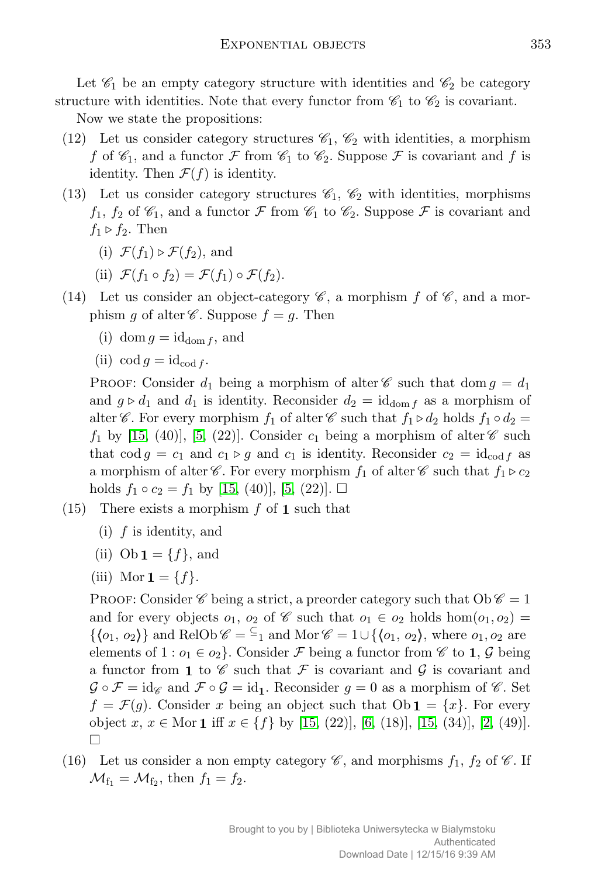Let  $\mathcal{C}_1$  be an empty category structure with identities and  $\mathcal{C}_2$  be category structure with identities. Note that every functor from  $\mathcal{C}_1$  to  $\mathcal{C}_2$  is covariant.

Now we state the propositions:

- (12) Let us consider category structures  $\mathscr{C}_1$ ,  $\mathscr{C}_2$  with identities, a morphism *f* of  $\mathscr{C}_1$ , and a functor *F* from  $\mathscr{C}_1$  to  $\mathscr{C}_2$ . Suppose *F* is covariant and *f* is identity. Then  $\mathcal{F}(f)$  is identity.
- (13) Let us consider category structures  $\mathcal{C}_1$ ,  $\mathcal{C}_2$  with identities, morphisms  $f_1, f_2$  of  $\mathscr{C}_1$ , and a functor  $\mathscr F$  from  $\mathscr{C}_1$  to  $\mathscr{C}_2$ . Suppose  $\mathscr F$  is covariant and  $f_1 \triangleright f_2$ . Then
	- (i)  $\mathcal{F}(f_1) \triangleright \mathcal{F}(f_2)$ , and
	- (ii)  $\mathcal{F}(f_1 \circ f_2) = \mathcal{F}(f_1) \circ \mathcal{F}(f_2).$
- (14) Let us consider an object-category  $\mathscr{C}$ , a morphism  $f$  of  $\mathscr{C}$ , and a morphism *g* of alter  $\mathscr C$ . Suppose  $f = g$ . Then
	- (i) dom  $q = id_{dom f}$ , and
	- (ii)  $\operatorname{cod} g = \operatorname{id}_{\operatorname{cod} f}$ .

PROOF: Consider  $d_1$  being a morphism of alter  $\mathscr C$  such that dom  $g = d_1$ and  $g \triangleright d_1$  and  $d_1$  is identity. Reconsider  $d_2 = \text{id}_{\text{dom } f}$  as a morphism of alter C. For every morphism  $f_1$  of alter C such that  $f_1 \triangleright d_2$  holds  $f_1 \circ d_2 =$  $f_1$  by [\[15,](#page-18-6) (40)], [\[5,](#page-18-5) (22)]. Consider  $c_1$  being a morphism of alter  $\mathscr{C}$  such that  $\text{cod } g = c_1$  and  $c_1 \triangleright g$  and  $c_1$  is identity. Reconsider  $c_2 = \text{id}_{\text{cod } f}$  as a morphism of alter  $\mathscr C$ . For every morphism  $f_1$  of alter  $\mathscr C$  such that  $f_1 \triangleright c_2$ holds  $f_1 \circ c_2 = f_1$  by [\[15,](#page-18-6) (40)], [\[5,](#page-18-5) (22)].  $\square$ 

- (15) There exists a morphism *f* of **1** such that
	- (i) *f* is identity, and
	- (ii)  $\text{Ob} \mathbf{1} = \{f\}$ , and
	- (iii) Mor  $\mathbf{1} = \{f\}.$

PROOF: Consider  $\mathscr C$  being a strict, a preorder category such that  $Ob \mathscr C = 1$ and for every objects  $o_1$ ,  $o_2$  of  $\mathscr C$  such that  $o_1 \in o_2$  holds hom $(o_1, o_2)$  =  $\{\langle o_1, o_2 \rangle\}$  and RelOb  $\mathscr{C} = \mathscr{C}_1$  and Mor  $\mathscr{C} = 1 \cup \{\langle o_1, o_2 \rangle\}$ , where  $o_1, o_2$  are elements of  $1 : o_1 \in o_2$ . Consider *F* being a functor from  $\mathscr{C}$  to **1**,  $\mathscr{G}$  being a functor from 1 to  $\mathscr C$  such that  $\mathcal F$  is covariant and  $\mathcal G$  is covariant and  $\mathcal{G} \circ \mathcal{F} = \text{id}_{\mathscr{C}}$  and  $\mathcal{F} \circ \mathcal{G} = \text{id}_{1}$ . Reconsider  $g = 0$  as a morphism of  $\mathscr{C}$ . Set  $f = \mathcal{F}(q)$ . Consider *x* being an object such that  $\text{Ob } \mathbf{1} = \{x\}$ . For every object *x*, *x ∈* Mor **1** iff *x ∈ {f}* by [\[15,](#page-18-6) (22)], [\[6,](#page-18-10) (18)], [\[15,](#page-18-6) (34)], [\[2,](#page-18-4) (49)].  $\Box$ 

(16) Let us consider a non empty category  $\mathscr{C}$ , and morphisms  $f_1$ ,  $f_2$  of  $\mathscr{C}$ . If  $M_{f_1} = M_{f_2}$ , then  $f_1 = f_2$ .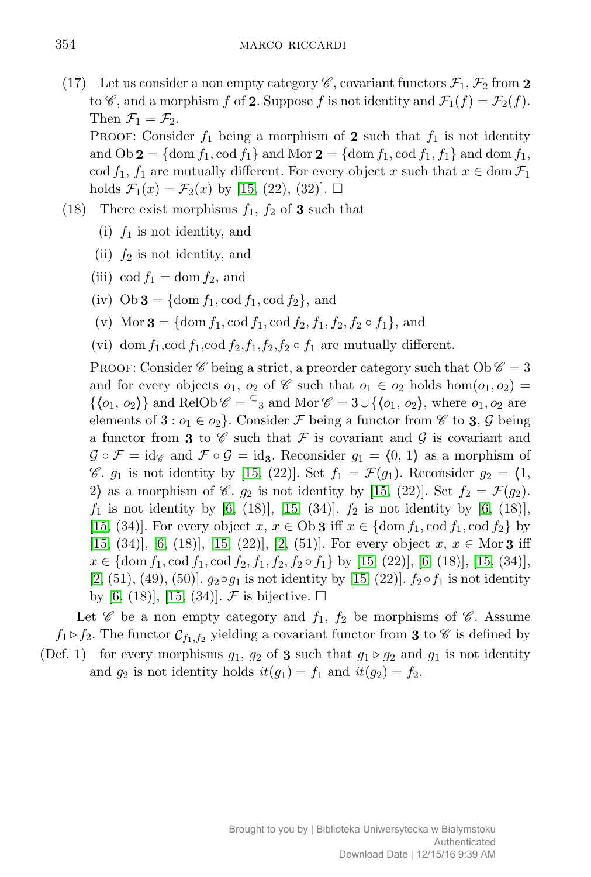- (17) Let us consider a non empty category  $\mathscr{C}$ , covariant functors  $\mathcal{F}_1$ ,  $\mathcal{F}_2$  from 2 to  $\mathscr{C}$ , and a morphism  $f$  of 2. Suppose  $f$  is not identity and  $\mathcal{F}_1(f) = \mathcal{F}_2(f)$ . Then  $\mathcal{F}_1 = \mathcal{F}_2$ . PROOF: Consider  $f_1$  being a morphism of 2 such that  $f_1$  is not identity and  $Ob 2 = \{dom f_1, cod f_1\}$  and  $Mor 2 = \{dom f_1, cod f_1, f_1\}$  and  $dom f_1$ ,
	- cod  $f_1$ ,  $f_1$  are mutually different. For every object *x* such that  $x \in \text{dom } \mathcal{F}_1$ holds  $\mathcal{F}_1(x) = \mathcal{F}_2(x)$  by [\[15,](#page-18-6) (22), (32)].  $\square$
- (18) There exist morphisms  $f_1$ ,  $f_2$  of **3** such that
	- (i) *f*<sup>1</sup> is not identity, and
	- (ii)  $f_2$  is not identity, and
	- (iii) cod  $f_1 = \text{dom } f_2$ , and
	- (iv)  $\text{Ob } 3 = \{\text{dom } f_1, \text{cod } f_1, \text{cod } f_2\},\$  and
	- (v) Mor **3** = {dom  $f_1$ , cod  $f_1$ , cod  $f_2$ ,  $f_1$ ,  $f_2$ ,  $f_2 \circ f_1$ }, and
	- (vi) dom  $f_1$ , cod  $f_2$ ,  $f_1$ ,  $f_2$ ,  $f_2 \circ f_1$  are mutually different.

PROOF: Consider  $\mathscr C$  being a strict, a preorder category such that  $Ob \mathscr C = 3$ and for every objects  $o_1$ ,  $o_2$  of  $\mathscr C$  such that  $o_1 \in o_2$  holds hom $(o_1, o_2)$  =  $\{\langle o_1, o_2 \rangle\}$  and RelOb  $\mathscr{C} = \mathscr{C}_3$  and Mor  $\mathscr{C} = 3 \cup \{\langle o_1, o_2 \rangle\}$ , where  $o_1, o_2$  are elements of  $3 : o_1 \in o_2$ . Consider *F* being a functor from  $\mathscr{C}$  to **3**,  $\mathscr{G}$  being a functor from **3** to  $\mathscr C$  such that  $\mathcal F$  is covariant and  $\mathcal G$  is covariant and  $G \circ \mathcal{F} = id_{\mathscr{C}}$  and  $\mathcal{F} \circ \mathcal{G} = id_3$ . Reconsider  $g_1 = \langle 0, 1 \rangle$  as a morphism of  $\mathscr{C}$ .  $g_1$  is not identity by [\[15,](#page-18-6) (22)]. Set  $f_1 = \mathcal{F}(g_1)$ . Reconsider  $g_2 = \langle 1, \rangle$ 2) as a morphism of  $\mathscr{C}$ .  $g_2$  is not identity by [\[15,](#page-18-6) (22)]. Set  $f_2 = \mathcal{F}(g_2)$ .  $f_1$  is not identity by [\[6,](#page-18-10) (18)], [\[15,](#page-18-6) (34)].  $f_2$  is not identity by [6, (18)], [\[15,](#page-18-6) (34)]. For every object  $x, x \in \text{Ob } \mathbf{3}$  iff  $x \in \{\text{dom } f_1, \text{cod } f_1, \text{cod } f_2\}$  by [\[15,](#page-18-6) (34)], [\[6,](#page-18-10) (18)], [15, (22)], [\[2,](#page-18-4) (51)]. For every object  $x, x \in \text{Mor } 3$  iff *x* ∈ {dom *f*<sub>1</sub>, cod *f*<sub>1</sub>, cod *f*<sub>2</sub>*, f*<sub>1</sub>*, f*<sub>2</sub>*, f*<sub>2</sub><sup></sup> ∘ *f*<sub>1</sub></sub>} by [\[15,](#page-18-6) (22)], [\[6,](#page-18-10) (18)], [15, (34)], [\[2,](#page-18-4) (51), (49), (50)].  $g_2 \circ g_1$  is not identity by [\[15,](#page-18-6) (22)].  $f_2 \circ f_1$  is not identity by [\[6,](#page-18-10) (18)], [\[15,](#page-18-6) (34)]. *F* is bijective.  $\Box$ 

Let  $\mathscr C$  be a non empty category and  $f_1$ ,  $f_2$  be morphisms of  $\mathscr C$ . Assume  $f_1 \triangleright f_2$ . The functor  $C_{f_1,f_2}$  yielding a covariant functor from **3** to  $\mathscr{C}$  is defined by (Def. 1) for every morphisms  $g_1$ ,  $g_2$  of **3** such that  $g_1 \triangleright g_2$  and  $g_1$  is not identity

and  $g_2$  is not identity holds  $it(g_1) = f_1$  and  $it(g_2) = f_2$ .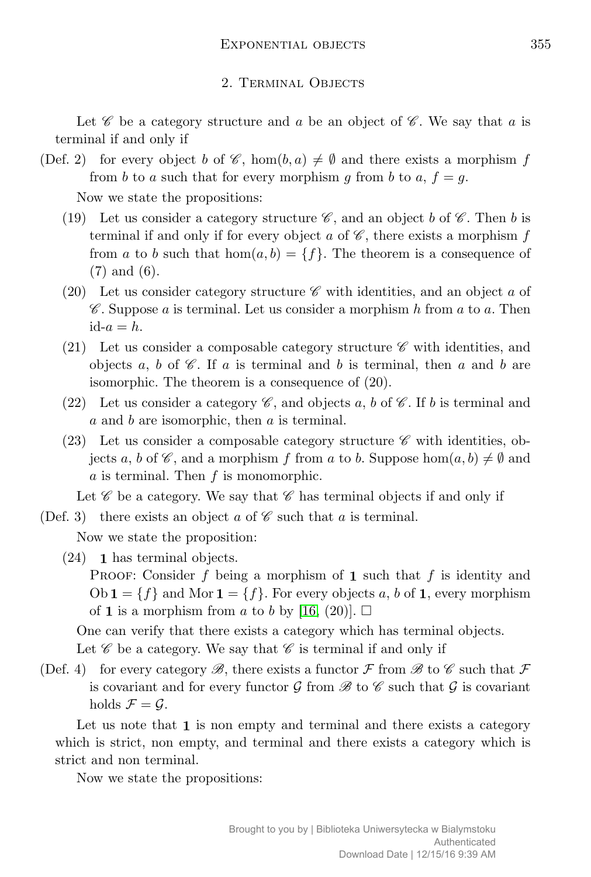## 2. Terminal Objects

Let  $\mathscr C$  be a category structure and  $a$  be an object of  $\mathscr C$ . We say that  $a$  is terminal if and only if

(Def. 2) for every object *b* of  $\mathscr{C}$ , hom $(b, a) \neq \emptyset$  and there exists a morphism *f* from *b* to *a* such that for every morphism *q* from *b* to *a*,  $f = q$ .

Now we state the propositions:

- (19) Let us consider a category structure  $\mathscr C$ , and an object *b* of  $\mathscr C$ . Then *b* is terminal if and only if for every object  $a$  of  $\mathscr C$ , there exists a morphism  $f$ from *a* to *b* such that  $hom(a, b) = \{f\}$ . The theorem is a consequence of (7) and (6).
- (20) Let us consider category structure  $\mathscr C$  with identities, and an object  $a$  of C . Suppose *a* is terminal. Let us consider a morphism *h* from *a* to *a*. Then  $id-a = h.$
- (21) Let us consider a composable category structure  $\mathscr C$  with identities, and objects a, b of  $\mathscr C$ . If a is terminal and b is terminal, then a and b are isomorphic. The theorem is a consequence of (20).
- (22) Let us consider a category  $\mathscr C$ , and objects a, b of  $\mathscr C$ . If b is terminal and *a* and *b* are isomorphic, then *a* is terminal.
- (23) Let us consider a composable category structure  $\mathscr C$  with identities, objects *a*, *b* of  $\mathscr{C}$ , and a morphism *f* from *a* to *b*. Suppose hom $(a, b) \neq \emptyset$  and *a* is terminal. Then *f* is monomorphic.

Let  $\mathscr C$  be a category. We say that  $\mathscr C$  has terminal objects if and only if

(Def. 3) there exists an object  $a$  of  $\mathscr C$  such that  $a$  is terminal.

Now we state the proposition:

(24) **1** has terminal objects.

PROOF: Consider *f* being a morphism of **1** such that *f* is identity and  $Ob \mathbf{1} = \{f\}$  and Mor  $\mathbf{1} = \{f\}$ . For every objects *a*, *b* of **1**, every morphism of **1** is a morphism from *a* to *b* by [\[16,](#page-18-7) (20)].  $\Box$ 

One can verify that there exists a category which has terminal objects.

Let  $\mathscr C$  be a category. We say that  $\mathscr C$  is terminal if and only if

(Def. 4) for every category  $\mathscr{B}$ , there exists a functor  $\mathcal F$  from  $\mathscr{B}$  to  $\mathscr{C}$  such that  $\mathcal F$ is covariant and for every functor  $\mathcal G$  from  $\mathcal B$  to  $\mathcal C$  such that  $\mathcal G$  is covariant holds  $\mathcal{F} = \mathcal{G}$ .

Let us note that **1** is non empty and terminal and there exists a category which is strict, non empty, and terminal and there exists a category which is strict and non terminal.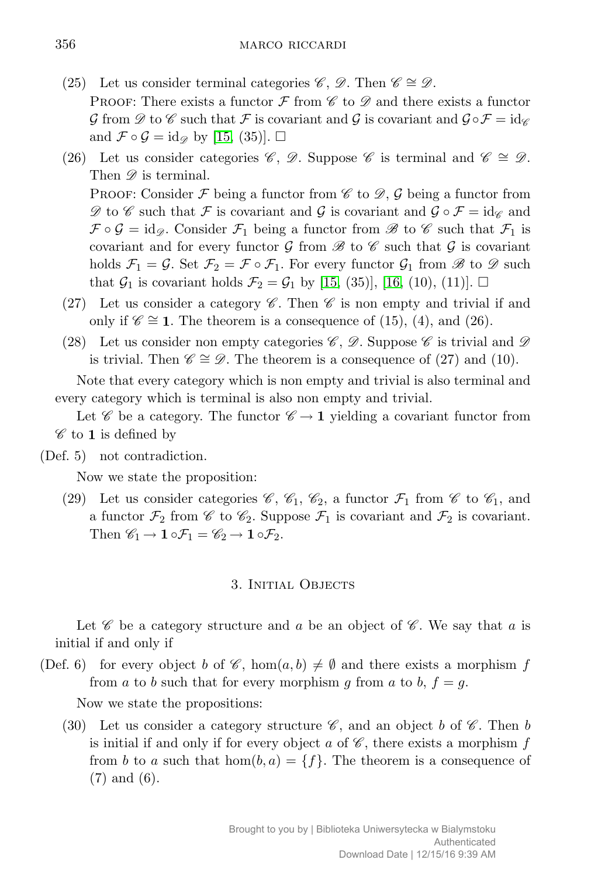- (25) Let us consider terminal categories *C*, *D*. Then  $C \cong D$ . PROOF: There exists a functor  $\mathcal F$  from  $\mathcal C$  to  $\mathcal D$  and there exists a functor  $\mathcal{G}$  from  $\mathscr{D}$  to  $\mathscr{C}$  such that  $\mathcal{F}$  is covariant and  $\mathcal{G}$  is covariant and  $\mathcal{G} \circ \mathcal{F} = id_{\mathscr{C}}$ and  $\mathcal{F} \circ \mathcal{G} = id_{\mathscr{D}}$  by [\[15,](#page-18-6) (35)].  $\square$
- (26) Let us consider categories C , D. Suppose C is terminal and C *∼*= D. Then  $\mathscr{D}$  is terminal. PROOF: Consider  $\mathcal F$  being a functor from  $\mathscr C$  to  $\mathscr D$ ,  $\mathcal G$  being a functor from

 $\mathscr{D}$  to  $\mathscr{C}$  such that  $\mathscr{F}$  is covariant and  $\mathscr{G} \circ \mathscr{F} = \mathrm{id}_{\mathscr{C}}$  and  $\mathcal{F} \circ \mathcal{G} = id_{\mathscr{D}}$ . Consider  $\mathcal{F}_1$  being a functor from  $\mathscr{B}$  to  $\mathscr{C}$  such that  $\mathcal{F}_1$  is covariant and for every functor  $\mathcal G$  from  $\mathcal B$  to  $\mathcal C$  such that  $\mathcal G$  is covariant holds  $\mathcal{F}_1 = \mathcal{G}$ . Set  $\mathcal{F}_2 = \mathcal{F} \circ \mathcal{F}_1$ . For every functor  $\mathcal{G}_1$  from  $\mathcal{B}$  to  $\mathcal{D}$  such that  $G_1$  is covariant holds  $\mathcal{F}_2 = G_1$  by [\[15,](#page-18-6) (35)], [\[16,](#page-18-7) (10), (11)].  $\square$ 

- (27) Let us consider a category  $\mathscr C$ . Then  $\mathscr C$  is non empty and trivial if and only if  $\mathscr{C} \cong$  **1**. The theorem is a consequence of (15), (4), and (26).
- (28) Let us consider non empty categories  $\mathscr{C}, \mathscr{D}$ . Suppose  $\mathscr{C}$  is trivial and  $\mathscr{D}$ is trivial. Then  $\mathscr{C} \cong \mathscr{D}$ . The theorem is a consequence of (27) and (10).

Note that every category which is non empty and trivial is also terminal and every category which is terminal is also non empty and trivial.

Let  $\mathscr{C}$  be a category. The functor  $\mathscr{C} \to \mathbf{1}$  yielding a covariant functor from  $\mathscr{C}$  to **1** is defined by

(Def. 5) not contradiction.

Now we state the proposition:

(29) Let us consider categories  $\mathscr{C}$ ,  $\mathscr{C}_1$ ,  $\mathscr{C}_2$ , a functor  $\mathcal{F}_1$  from  $\mathscr{C}$  to  $\mathscr{C}_1$ , and a functor  $\mathcal{F}_2$  from  $\mathcal C$  to  $\mathcal C_2$ . Suppose  $\mathcal{F}_1$  is covariant and  $\mathcal{F}_2$  is covariant. Then  $\mathscr{C}_1 \rightarrow 1 \circ \mathcal{F}_1 = \mathscr{C}_2 \rightarrow 1 \circ \mathcal{F}_2$ .

## 3. Initial Objects

Let  $\mathscr C$  be a category structure and  $a$  be an object of  $\mathscr C$ . We say that  $a$  is initial if and only if

(Def. 6) for every object *b* of  $\mathscr{C}$ , hom $(a, b) \neq \emptyset$  and there exists a morphism *f* from *a* to *b* such that for every morphism *g* from *a* to *b*,  $f = g$ .

Now we state the propositions:

(30) Let us consider a category structure  $\mathscr{C}$ , and an object *b* of  $\mathscr{C}$ . Then *b* is initial if and only if for every object  $a$  of  $\mathscr{C}$ , there exists a morphism  $f$ from *b* to *a* such that  $hom(b, a) = \{f\}$ . The theorem is a consequence of (7) and (6).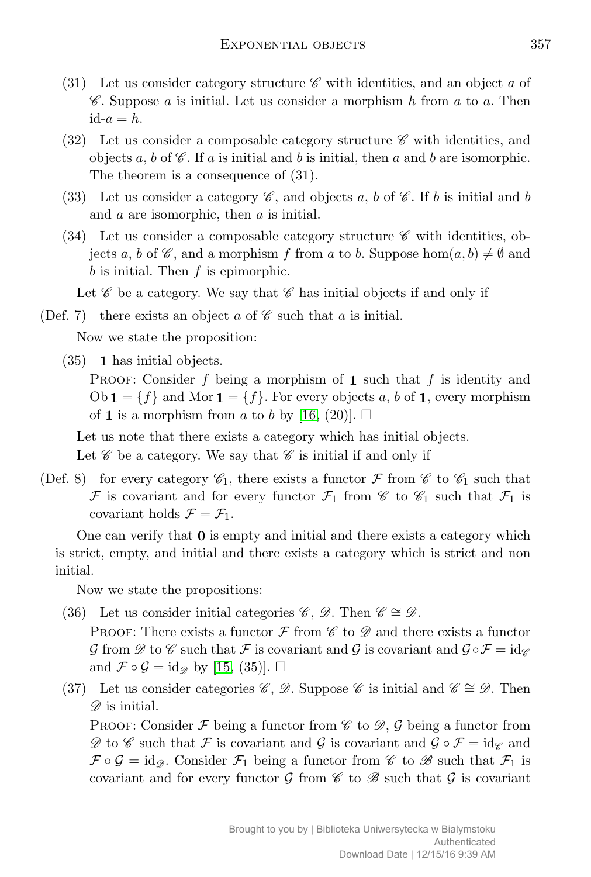- (31) Let us consider category structure  $\mathscr C$  with identities, and an object  $a$  of C . Suppose *a* is initial. Let us consider a morphism *h* from *a* to *a*. Then  $id-a = h.$
- (32) Let us consider a composable category structure  $\mathscr C$  with identities, and objects  $a, b$  of  $\mathscr{C}$ . If  $a$  is initial and  $b$  is initial, then  $a$  and  $b$  are isomorphic. The theorem is a consequence of (31).
- (33) Let us consider a category  $\mathscr{C}$ , and objects a, b of  $\mathscr{C}$ . If b is initial and b and *a* are isomorphic, then *a* is initial.
- (34) Let us consider a composable category structure  $\mathscr C$  with identities, objects *a*, *b* of  $\mathscr{C}$ , and a morphism *f* from *a* to *b*. Suppose hom $(a, b) \neq \emptyset$  and *b* is initial. Then *f* is epimorphic.

Let  $\mathscr C$  be a category. We say that  $\mathscr C$  has initial objects if and only if

(Def. 7) there exists an object  $a$  of  $\mathscr C$  such that  $a$  is initial.

Now we state the proposition:

(35) **1** has initial objects.

PROOF: Consider *f* being a morphism of **1** such that *f* is identity and  $Ob \mathbf{1} = \{f\}$  and Mor  $\mathbf{1} = \{f\}$ . For every objects *a*, *b* of **1**, every morphism of **1** is a morphism from *a* to *b* by [\[16,](#page-18-7) (20)].  $\Box$ 

Let us note that there exists a category which has initial objects.

Let  $\mathscr C$  be a category. We say that  $\mathscr C$  is initial if and only if

(Def. 8) for every category  $\mathcal{C}_1$ , there exists a functor  $\mathcal F$  from  $\mathcal C$  to  $\mathcal C_1$  such that *F* is covariant and for every functor  $\mathcal{F}_1$  from  $\mathcal{C}$  to  $\mathcal{C}_1$  such that  $\mathcal{F}_1$  is covariant holds  $\mathcal{F} = \mathcal{F}_1$ .

One can verify that **0** is empty and initial and there exists a category which is strict, empty, and initial and there exists a category which is strict and non initial.

Now we state the propositions:

(36) Let us consider initial categories  $\mathscr{C}, \mathscr{D}$ . Then  $\mathscr{C} \cong \mathscr{D}$ .

PROOF: There exists a functor  $\mathcal F$  from  $\mathcal C$  to  $\mathcal D$  and there exists a functor  $\mathcal{G}$  from  $\mathcal{D}$  to  $\mathcal{C}$  such that  $\mathcal{F}$  is covariant and  $\mathcal{G}$  is covariant and  $\mathcal{G} \circ \mathcal{F} = id_{\mathcal{C}}$ and  $\mathcal{F} \circ \mathcal{G} = id_{\mathscr{D}}$  by [\[15,](#page-18-6) (35)].  $\square$ 

(37) Let us consider categories C, D. Suppose C is initial and  $\mathscr{C} \cong \mathscr{D}$ . Then  $\mathscr{D}$  is initial.

PROOF: Consider  $\mathcal F$  being a functor from  $\mathscr C$  to  $\mathscr D$ ,  $\mathcal G$  being a functor from  $\mathscr{D}$  to  $\mathscr{C}$  such that  $\mathscr{F}$  is covariant and  $\mathscr{G} \circ \mathscr{F} = id_{\mathscr{C}}$  and  $\mathcal{F} \circ \mathcal{G} = id_{\mathscr{D}}$ . Consider  $\mathcal{F}_1$  being a functor from  $\mathscr{C}$  to  $\mathscr{B}$  such that  $\mathcal{F}_1$  is covariant and for every functor  $\mathcal G$  from  $\mathcal C$  to  $\mathcal B$  such that  $\mathcal G$  is covariant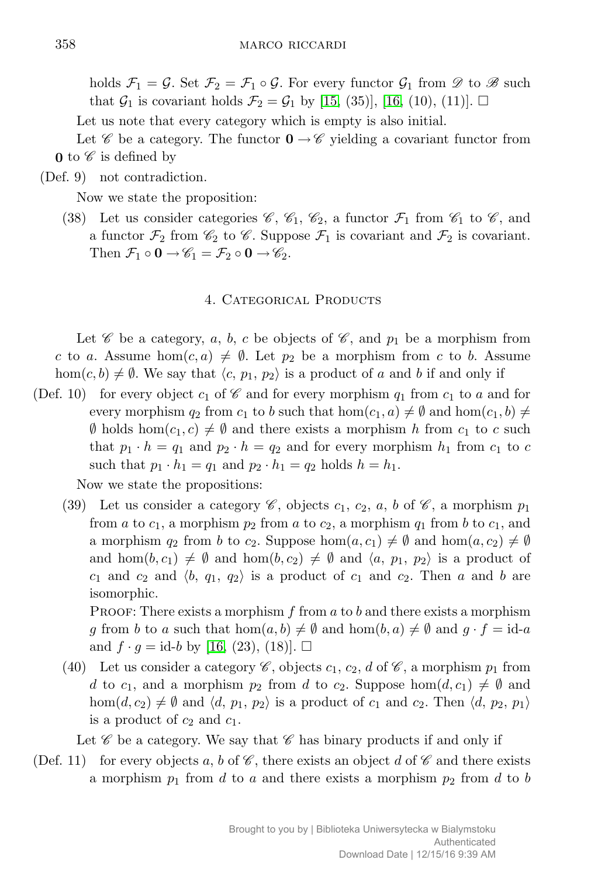holds  $\mathcal{F}_1 = \mathcal{G}$ . Set  $\mathcal{F}_2 = \mathcal{F}_1 \circ \mathcal{G}$ . For every functor  $\mathcal{G}_1$  from  $\mathcal{D}$  to  $\mathcal{B}$  such that  $\mathcal{G}_1$  is covariant holds  $\mathcal{F}_2 = \mathcal{G}_1$  by [\[15,](#page-18-6) (35)], [\[16,](#page-18-7) (10), (11)].  $\Box$ 

Let us note that every category which is empty is also initial.

Let C be a category. The functor  $\mathbf{0} \to \mathscr{C}$  yielding a covariant functor from **0** to  $\mathscr C$  is defined by

(Def. 9) not contradiction.

Now we state the proposition:

(38) Let us consider categories  $\mathscr{C}, \mathscr{C}_1, \mathscr{C}_2$ , a functor  $\mathcal{F}_1$  from  $\mathscr{C}_1$  to  $\mathscr{C}$ , and a functor  $\mathcal{F}_2$  from  $\mathcal{C}_2$  to  $\mathcal{C}$ . Suppose  $\mathcal{F}_1$  is covariant and  $\mathcal{F}_2$  is covariant. Then  $\mathcal{F}_1 \circ \mathbf{0} \to \mathcal{C}_1 = \mathcal{F}_2 \circ \mathbf{0} \to \mathcal{C}_2$ .

#### 4. CATEGORICAL PRODUCTS

Let  $\mathscr C$  be a category, a, b, c be objects of  $\mathscr C$ , and  $p_1$  be a morphism from *c* to *a*. Assume hom $(c, a) \neq \emptyset$ . Let  $p_2$  be a morphism from *c* to *b*. Assume hom $(c, b) \neq \emptyset$ . We say that  $\langle c, p_1, p_2 \rangle$  is a product of *a* and *b* if and only if

(Def. 10) for every object  $c_1$  of  $\mathscr C$  and for every morphism  $q_1$  from  $c_1$  to  $a$  and for every morphism  $q_2$  from  $c_1$  to *b* such that  $hom(c_1, a) \neq \emptyset$  and  $hom(c_1, b) \neq \emptyset$  $\emptyset$  holds hom $(c_1, c) \neq \emptyset$  and there exists a morphism *h* from  $c_1$  to *c* such that  $p_1 \cdot h = q_1$  and  $p_2 \cdot h = q_2$  and for every morphism  $h_1$  from  $c_1$  to  $c$ such that  $p_1 \cdot h_1 = q_1$  and  $p_2 \cdot h_1 = q_2$  holds  $h = h_1$ .

Now we state the propositions:

(39) Let us consider a category  $\mathscr{C}$ , objects  $c_1$ ,  $c_2$ ,  $a$ ,  $b$  of  $\mathscr{C}$ , a morphism  $p_1$ from *a* to  $c_1$ , a morphism  $p_2$  from *a* to  $c_2$ , a morphism  $q_1$  from *b* to  $c_1$ , and a morphism  $q_2$  from *b* to  $c_2$ . Suppose hom $(a, c_1) \neq \emptyset$  and hom $(a, c_2) \neq \emptyset$ and  $hom(b, c_1) \neq \emptyset$  and  $hom(b, c_2) \neq \emptyset$  and  $\langle a, p_1, p_2 \rangle$  is a product of  $c_1$  and  $c_2$  and  $\langle b, q_1, q_2 \rangle$  is a product of  $c_1$  and  $c_2$ . Then *a* and *b* are isomorphic.

Proof: There exists a morphism *f* from *a* to *b* and there exists a morphism *g* from *b* to *a* such that hom $(a, b) \neq \emptyset$  and hom $(b, a) \neq \emptyset$  and  $g \cdot f = id - a$ and  $f \cdot g = id - b$  by [\[16,](#page-18-7) (23), (18)].  $\Box$ 

(40) Let us consider a category  $\mathscr{C}$ , objects  $c_1$ ,  $c_2$ ,  $d$  of  $\mathscr{C}$ , a morphism  $p_1$  from *d* to  $c_1$ , and a morphism  $p_2$  from *d* to  $c_2$ . Suppose hom $(d, c_1) \neq \emptyset$  and hom $(d, c_2) \neq \emptyset$  and  $\langle d, p_1, p_2 \rangle$  is a product of  $c_1$  and  $c_2$ . Then  $\langle d, p_2, p_1 \rangle$ is a product of  $c_2$  and  $c_1$ .

Let  $\mathscr C$  be a category. We say that  $\mathscr C$  has binary products if and only if

(Def. 11) for every objects a, b of  $\mathscr{C}$ , there exists an object d of  $\mathscr{C}$  and there exists a morphism  $p_1$  from *d* to *a* and there exists a morphism  $p_2$  from *d* to *b*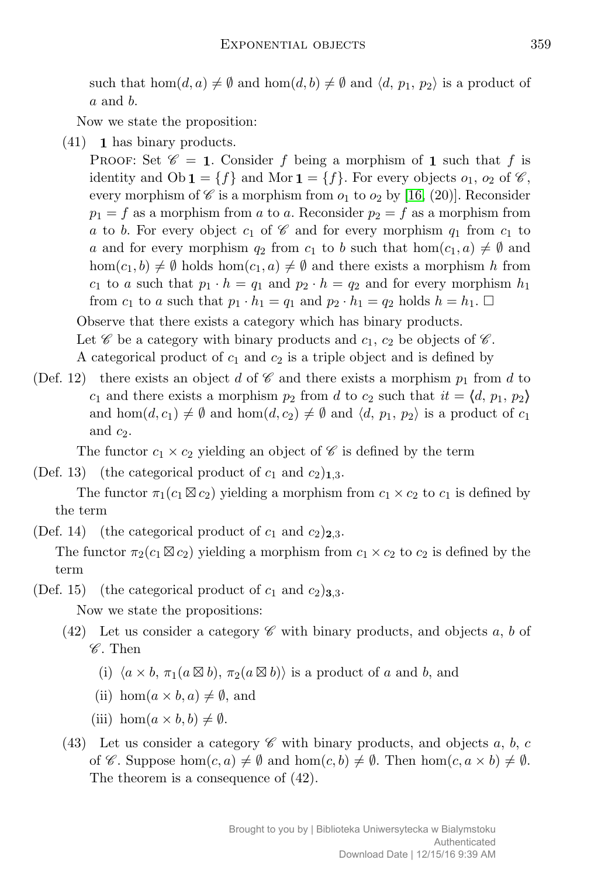such that  $hom(d, a) \neq \emptyset$  and  $hom(d, b) \neq \emptyset$  and  $\langle d, p_1, p_2 \rangle$  is a product of *a* and *b*.

Now we state the proposition:

(41) **1** has binary products.

PROOF: Set  $\mathscr{C} = 1$ . Consider *f* being a morphism of 1 such that *f* is identity and  $Ob \mathbf{1} = \{f\}$  and Mor  $\mathbf{1} = \{f\}$ . For every objects  $o_1$ ,  $o_2$  of  $\mathscr{C}$ , every morphism of  $\mathscr C$  is a morphism from  $o_1$  to  $o_2$  by [\[16,](#page-18-7) (20)]. Reconsider  $p_1 = f$  as a morphism from *a* to *a*. Reconsider  $p_2 = f$  as a morphism from *a* to *b*. For every object  $c_1$  of  $\mathscr C$  and for every morphism  $q_1$  from  $c_1$  to *a* and for every morphism  $q_2$  from  $c_1$  to *b* such that hom $(c_1, a) \neq \emptyset$  and  $hom(c_1, b) \neq \emptyset$  holds  $hom(c_1, a) \neq \emptyset$  and there exists a morphism *h* from *c*<sub>1</sub> to *a* such that  $p_1 \cdot h = q_1$  and  $p_2 \cdot h = q_2$  and for every morphism  $h_1$ from  $c_1$  to  $a$  such that  $p_1 \cdot h_1 = q_1$  and  $p_2 \cdot h_1 = q_2$  holds  $h = h_1$ .  $\Box$ 

Observe that there exists a category which has binary products.

Let  $\mathscr C$  be a category with binary products and  $c_1, c_2$  be objects of  $\mathscr C$ .

A categorical product of *c*<sup>1</sup> and *c*<sup>2</sup> is a triple object and is defined by

(Def. 12) there exists an object *d* of  $\mathscr C$  and there exists a morphism  $p_1$  from *d* to *c*<sub>1</sub> and there exists a morphism  $p_2$  from *d* to  $c_2$  such that  $it = \langle d, p_1, p_2 \rangle$ and hom $(d, c_1) \neq \emptyset$  and hom $(d, c_2) \neq \emptyset$  and  $\langle d, p_1, p_2 \rangle$  is a product of  $c_1$ and  $c_2$ .

The functor  $c_1 \times c_2$  yielding an object of  $\mathscr C$  is defined by the term

(Def. 13) (the categorical product of  $c_1$  and  $c_2$ )<sub>1,3</sub>.

The functor  $\pi_1(c_1 \boxtimes c_2)$  yielding a morphism from  $c_1 \times c_2$  to  $c_1$  is defined by the term

(Def. 14) (the categorical product of  $c_1$  and  $c_2$ )<sub>2,3</sub>.

The functor  $\pi_2(c_1 \boxtimes c_2)$  yielding a morphism from  $c_1 \times c_2$  to  $c_2$  is defined by the term

(Def. 15) (the categorical product of  $c_1$  and  $c_2$ )<sub>3,3</sub>.

- (42) Let us consider a category  $\mathscr C$  with binary products, and objects a, b of  $\mathscr{C}$ . Then
	- (i)  $\langle a \times b, \pi_1(a \boxtimes b), \pi_2(a \boxtimes b) \rangle$  is a product of *a* and *b*, and
	- (ii) hom $(a \times b, a) \neq \emptyset$ , and
	- (iii) hom $(a \times b, b) \neq \emptyset$ .
- (43) Let us consider a category  $\mathscr C$  with binary products, and objects a, b, c of C. Suppose  $hom(c, a) \neq \emptyset$  and  $hom(c, b) \neq \emptyset$ . Then  $hom(c, a \times b) \neq \emptyset$ . The theorem is a consequence of (42).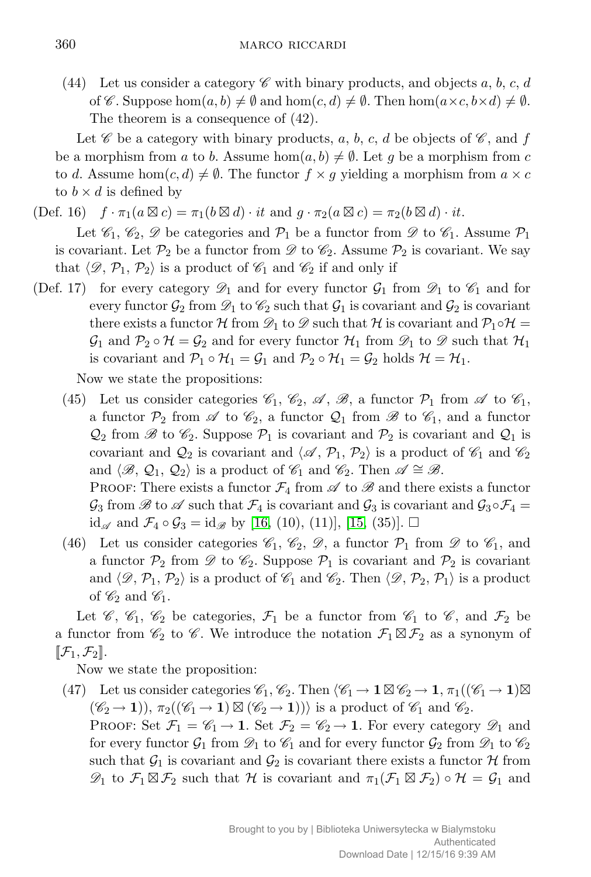(44) Let us consider a category  $\mathscr C$  with binary products, and objects a, b, c, d of  $\mathscr{C}$ . Suppose hom $(a, b) \neq \emptyset$  and hom $(c, d) \neq \emptyset$ . Then hom $(a \times c, b \times d) \neq \emptyset$ . The theorem is a consequence of (42).

Let  $\mathscr C$  be a category with binary products, a, b, c, d be objects of  $\mathscr C$ , and f be a morphism from *a* to *b*. Assume hom $(a, b) \neq \emptyset$ . Let *g* be a morphism from *c* to *d*. Assume hom $(c, d) \neq \emptyset$ . The functor  $f \times g$  yielding a morphism from  $a \times c$ to  $b \times d$  is defined by

 $(\text{Def. } 16)$   $f \cdot \pi_1(a \boxtimes c) = \pi_1(b \boxtimes d) \cdot it$  and  $g \cdot \pi_2(a \boxtimes c) = \pi_2(b \boxtimes d) \cdot it$ .

Let  $\mathscr{C}_1, \mathscr{C}_2, \mathscr{D}$  be categories and  $\mathcal{P}_1$  be a functor from  $\mathscr{D}$  to  $\mathscr{C}_1$ . Assume  $\mathcal{P}_1$ is covariant. Let  $\mathcal{P}_2$  be a functor from  $\mathscr{D}$  to  $\mathscr{C}_2$ . Assume  $\mathcal{P}_2$  is covariant. We say that  $\langle \mathcal{D}, \mathcal{P}_1, \mathcal{P}_2 \rangle$  is a product of  $\mathcal{C}_1$  and  $\mathcal{C}_2$  if and only if

(Def. 17) for every category  $\mathscr{D}_1$  and for every functor  $\mathscr{G}_1$  from  $\mathscr{D}_1$  to  $\mathscr{C}_1$  and for every functor  $\mathcal{G}_2$  from  $\mathcal{D}_1$  to  $\mathcal{C}_2$  such that  $\mathcal{G}_1$  is covariant and  $\mathcal{G}_2$  is covariant there exists a functor  $\mathcal{H}$  from  $\mathcal{D}_1$  to  $\mathcal{D}$  such that  $\mathcal{H}$  is covariant and  $\mathcal{P}_1 \circ \mathcal{H} =$  $\mathcal{G}_1$  and  $\mathcal{P}_2 \circ \mathcal{H} = \mathcal{G}_2$  and for every functor  $\mathcal{H}_1$  from  $\mathcal{D}_1$  to  $\mathcal{D}$  such that  $\mathcal{H}_1$ is covariant and  $\mathcal{P}_1 \circ \mathcal{H}_1 = \mathcal{G}_1$  and  $\mathcal{P}_2 \circ \mathcal{H}_1 = \mathcal{G}_2$  holds  $\mathcal{H} = \mathcal{H}_1$ .

Now we state the propositions:

(45) Let us consider categories  $\mathcal{C}_1$ ,  $\mathcal{C}_2$ ,  $\mathcal{A}$ ,  $\mathcal{B}$ , a functor  $\mathcal{P}_1$  from  $\mathcal{A}$  to  $\mathcal{C}_1$ , a functor  $\mathcal{P}_2$  from  $\mathscr A$  to  $\mathscr C_2$ , a functor  $\mathcal Q_1$  from  $\mathscr B$  to  $\mathscr C_1$ , and a functor  $\mathcal{Q}_2$  from  $\mathscr{B}$  to  $\mathscr{C}_2$ . Suppose  $\mathcal{P}_1$  is covariant and  $\mathcal{P}_2$  is covariant and  $\mathcal{Q}_1$  is covariant and  $\mathcal{Q}_2$  is covariant and  $\langle \mathcal{A}, \mathcal{P}_1, \mathcal{P}_2 \rangle$  is a product of  $\mathcal{C}_1$  and  $\mathcal{C}_2$ and  $\langle \mathcal{B}, \mathcal{Q}_1, \mathcal{Q}_2 \rangle$  is a product of  $\mathcal{C}_1$  and  $\mathcal{C}_2$ . Then  $\mathcal{A} \cong \mathcal{B}$ .

PROOF: There exists a functor  $\mathcal{F}_4$  from  $\mathscr A$  to  $\mathscr B$  and there exists a functor  $\mathcal{G}_3$  from  $\mathscr{B}$  to  $\mathscr{A}$  such that  $\mathcal{F}_4$  is covariant and  $\mathcal{G}_3$  is covariant and  $\mathcal{G}_3 \circ \mathcal{F}_4 =$ id<sub>∞</sub> and  $\mathcal{F}_4 \circ \mathcal{G}_3 = id_{\mathscr{B}}$  by [\[16,](#page-18-7) (10), (11)], [\[15,](#page-18-6) (35)]. □

(46) Let us consider categories  $\mathcal{C}_1$ ,  $\mathcal{C}_2$ ,  $\mathcal{D}$ , a functor  $\mathcal{P}_1$  from  $\mathcal{D}$  to  $\mathcal{C}_1$ , and a functor  $\mathcal{P}_2$  from  $\mathscr{D}$  to  $\mathscr{C}_2$ . Suppose  $\mathcal{P}_1$  is covariant and  $\mathcal{P}_2$  is covariant and  $\langle \mathcal{D}, \mathcal{P}_1, \mathcal{P}_2 \rangle$  is a product of  $\mathcal{C}_1$  and  $\mathcal{C}_2$ . Then  $\langle \mathcal{D}, \mathcal{P}_2, \mathcal{P}_1 \rangle$  is a product of  $\mathscr{C}_2$  and  $\mathscr{C}_1$ .

Let  $\mathscr{C}$ ,  $\mathscr{C}_1$ ,  $\mathscr{C}_2$  be categories,  $\mathcal{F}_1$  be a functor from  $\mathscr{C}_1$  to  $\mathscr{C}$ , and  $\mathcal{F}_2$  be a functor from  $\mathcal{C}_2$  to  $\mathcal{C}$ . We introduce the notation  $\mathcal{F}_1 \boxtimes \mathcal{F}_2$  as a synonym of  $[\![\mathcal{F}_1,\mathcal{F}_2]\!].$ 

Now we state the proposition:

(47) Let us consider categories  $\mathscr{C}_1$ ,  $\mathscr{C}_2$ . Then  $\langle \mathscr{C}_1 \to \mathbf{1} \boxtimes \mathscr{C}_2 \to \mathbf{1}, \pi_1((\mathscr{C}_1 \to \mathbf{1}) \boxtimes$  $(\mathscr{C}_2 \rightarrow 1)$ ),  $\pi_2((\mathscr{C}_1 \rightarrow 1) \boxtimes (\mathscr{C}_2 \rightarrow 1))$  is a product of  $\mathscr{C}_1$  and  $\mathscr{C}_2$ .

PROOF: Set  $\mathcal{F}_1 = \mathcal{C}_1 \rightarrow 1$ . Set  $\mathcal{F}_2 = \mathcal{C}_2 \rightarrow 1$ . For every category  $\mathcal{D}_1$  and for every functor  $\mathcal{G}_1$  from  $\mathcal{D}_1$  to  $\mathcal{C}_1$  and for every functor  $\mathcal{G}_2$  from  $\mathcal{D}_1$  to  $\mathcal{C}_2$ such that  $\mathcal{G}_1$  is covariant and  $\mathcal{G}_2$  is covariant there exists a functor  $\mathcal H$  from  $\mathscr{D}_1$  to  $\mathcal{F}_1 \boxtimes \mathcal{F}_2$  such that  $\mathcal{H}$  is covariant and  $\pi_1(\mathcal{F}_1 \boxtimes \mathcal{F}_2) \circ \mathcal{H} = \mathcal{G}_1$  and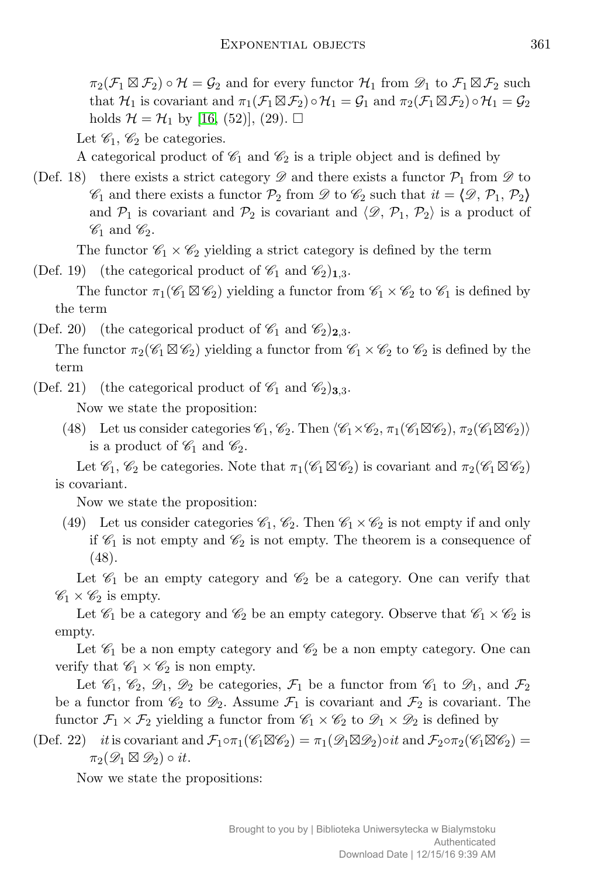$\pi_2(\mathcal{F}_1 \boxtimes \mathcal{F}_2) \circ \mathcal{H} = \mathcal{G}_2$  and for every functor  $\mathcal{H}_1$  from  $\mathcal{D}_1$  to  $\mathcal{F}_1 \boxtimes \mathcal{F}_2$  such that  $\mathcal{H}_1$  is covariant and  $\pi_1(\mathcal{F}_1 \boxtimes \mathcal{F}_2) \circ \mathcal{H}_1 = \mathcal{G}_1$  and  $\pi_2(\mathcal{F}_1 \boxtimes \mathcal{F}_2) \circ \mathcal{H}_1 = \mathcal{G}_2$ holds  $\mathcal{H} = \mathcal{H}_1$  by [\[16,](#page-18-7) (52)], (29).  $\square$ 

Let  $\mathscr{C}_1, \mathscr{C}_2$  be categories.

A categorical product of  $\mathscr{C}_1$  and  $\mathscr{C}_2$  is a triple object and is defined by

(Def. 18) there exists a strict category  $\mathscr{D}$  and there exists a functor  $\mathcal{P}_1$  from  $\mathscr{D}$  to  $\mathscr{C}_1$  and there exists a functor  $\mathcal{P}_2$  from  $\mathscr{D}$  to  $\mathscr{C}_2$  such that  $it = \langle \mathscr{D}, \mathcal{P}_1, \mathcal{P}_2 \rangle$ and  $P_1$  is covariant and  $P_2$  is covariant and  $\langle \mathcal{D}, \mathcal{P}_1, \mathcal{P}_2 \rangle$  is a product of  $\mathscr{C}_1$  and  $\mathscr{C}_2$ .

The functor  $\mathcal{C}_1 \times \mathcal{C}_2$  yielding a strict category is defined by the term

(Def. 19) (the categorical product of  $\mathcal{C}_1$  and  $\mathcal{C}_2$ )<sub>1,3</sub>.

The functor  $\pi_1(\mathscr{C}_1 \boxtimes \mathscr{C}_2)$  yielding a functor from  $\mathscr{C}_1 \times \mathscr{C}_2$  to  $\mathscr{C}_1$  is defined by the term

(Def. 20) (the categorical product of  $\mathscr{C}_1$  and  $\mathscr{C}_2)_{2,3}$ .

The functor  $\pi_2(\mathscr{C}_1 \boxtimes \mathscr{C}_2)$  yielding a functor from  $\mathscr{C}_1 \times \mathscr{C}_2$  to  $\mathscr{C}_2$  is defined by the term

(Def. 21) (the categorical product of  $\mathscr{C}_1$  and  $\mathscr{C}_2)_{3,3}$ .

Now we state the proposition:

(48) Let us consider categories  $\mathscr{C}_1$ ,  $\mathscr{C}_2$ . Then  $\langle \mathscr{C}_1 \times \mathscr{C}_2, \pi_1(\mathscr{C}_1 \boxtimes \mathscr{C}_2), \pi_2(\mathscr{C}_1 \boxtimes \mathscr{C}_2) \rangle$ is a product of  $\mathscr{C}_1$  and  $\mathscr{C}_2$ .

Let  $\mathscr{C}_1, \mathscr{C}_2$  be categories. Note that  $\pi_1(\mathscr{C}_1 \boxtimes \mathscr{C}_2)$  is covariant and  $\pi_2(\mathscr{C}_1 \boxtimes \mathscr{C}_2)$ is covariant.

Now we state the proposition:

(49) Let us consider categories  $\mathcal{C}_1$ ,  $\mathcal{C}_2$ . Then  $\mathcal{C}_1 \times \mathcal{C}_2$  is not empty if and only if  $\mathscr{C}_1$  is not empty and  $\mathscr{C}_2$  is not empty. The theorem is a consequence of (48).

Let  $\mathscr{C}_1$  be an empty category and  $\mathscr{C}_2$  be a category. One can verify that  $\mathscr{C}_1 \times \mathscr{C}_2$  is empty.

Let  $\mathcal{C}_1$  be a category and  $\mathcal{C}_2$  be an empty category. Observe that  $\mathcal{C}_1 \times \mathcal{C}_2$  is empty.

Let  $\mathcal{C}_1$  be a non empty category and  $\mathcal{C}_2$  be a non empty category. One can verify that  $\mathscr{C}_1 \times \mathscr{C}_2$  is non empty.

Let  $\mathscr{C}_1$ ,  $\mathscr{C}_2$ ,  $\mathscr{D}_1$ ,  $\mathscr{D}_2$  be categories,  $\mathcal{F}_1$  be a functor from  $\mathscr{C}_1$  to  $\mathscr{D}_1$ , and  $\mathcal{F}_2$ be a functor from  $\mathcal{C}_2$  to  $\mathcal{D}_2$ . Assume  $\mathcal{F}_1$  is covariant and  $\mathcal{F}_2$  is covariant. The functor  $\mathcal{F}_1 \times \mathcal{F}_2$  yielding a functor from  $\mathcal{C}_1 \times \mathcal{C}_2$  to  $\mathcal{D}_1 \times \mathcal{D}_2$  is defined by

(Def. 22) *it* is covariant and  $\mathcal{F}_1 \circ \pi_1(\mathscr{C}_1 \boxtimes \mathscr{C}_2) = \pi_1(\mathscr{D}_1 \boxtimes \mathscr{D}_2) \circ it$  and  $\mathcal{F}_2 \circ \pi_2(\mathscr{C}_1 \boxtimes \mathscr{C}_2) =$  $\pi_2(\mathscr{D}_1 \boxtimes \mathscr{D}_2) \circ it.$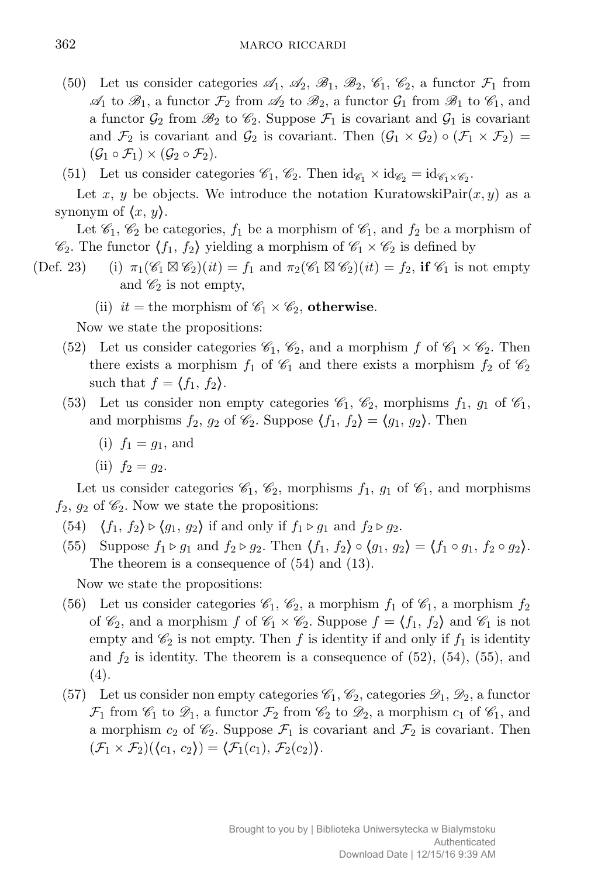(50) Let us consider categories  $\mathcal{A}_1$ ,  $\mathcal{A}_2$ ,  $\mathcal{B}_1$ ,  $\mathcal{B}_2$ ,  $\mathcal{C}_1$ ,  $\mathcal{C}_2$ , a functor  $\mathcal{F}_1$  from  $\mathscr{A}_1$  to  $\mathscr{B}_1$ , a functor  $\mathcal{F}_2$  from  $\mathscr{A}_2$  to  $\mathscr{B}_2$ , a functor  $\mathcal{G}_1$  from  $\mathscr{B}_1$  to  $\mathscr{C}_1$ , and a functor  $\mathcal{G}_2$  from  $\mathcal{B}_2$  to  $\mathcal{C}_2$ . Suppose  $\mathcal{F}_1$  is covariant and  $\mathcal{G}_1$  is covariant and  $\mathcal{F}_2$  is covariant and  $\mathcal{G}_2$  is covariant. Then  $(\mathcal{G}_1 \times \mathcal{G}_2) \circ (\mathcal{F}_1 \times \mathcal{F}_2) =$  $(\mathcal{G}_1 \circ \mathcal{F}_1) \times (\mathcal{G}_2 \circ \mathcal{F}_2).$ 

(51) Let us consider categories  $\mathscr{C}_1$ ,  $\mathscr{C}_2$ . Then  $\mathrm{id}_{\mathscr{C}_1} \times \mathrm{id}_{\mathscr{C}_2} = \mathrm{id}_{\mathscr{C}_1 \times \mathscr{C}_2}$ .

Let x, y be objects. We introduce the notation KuratowskiPair $(x, y)$  as a synonym of  $\langle x, y \rangle$ .

Let  $\mathscr{C}_1$ ,  $\mathscr{C}_2$  be categories,  $f_1$  be a morphism of  $\mathscr{C}_1$ , and  $f_2$  be a morphism of  $\mathscr{C}_2$ . The functor  $\langle f_1, f_2 \rangle$  yielding a morphism of  $\mathscr{C}_1 \times \mathscr{C}_2$  is defined by

- (Def. 23) (i)  $\pi_1(\mathscr{C}_1 \boxtimes \mathscr{C}_2)(it) = f_1$  and  $\pi_2(\mathscr{C}_1 \boxtimes \mathscr{C}_2)(it) = f_2$ , if  $\mathscr{C}_1$  is not empty and  $\mathscr{C}_2$  is not empty,
	- (ii)  $it =$  the morphism of  $\mathscr{C}_1 \times \mathscr{C}_2$ , otherwise.

Now we state the propositions:

- (52) Let us consider categories  $\mathcal{C}_1$ ,  $\mathcal{C}_2$ , and a morphism *f* of  $\mathcal{C}_1 \times \mathcal{C}_2$ . Then there exists a morphism  $f_1$  of  $\mathcal{C}_1$  and there exists a morphism  $f_2$  of  $\mathcal{C}_2$ such that  $f = \langle f_1, f_2 \rangle$ .
- (53) Let us consider non empty categories  $\mathcal{C}_1$ ,  $\mathcal{C}_2$ , morphisms  $f_1$ ,  $g_1$  of  $\mathcal{C}_1$ , and morphisms  $f_2$ ,  $g_2$  of  $\mathcal{C}_2$ . Suppose  $\langle f_1, f_2 \rangle = \langle g_1, g_2 \rangle$ . Then
	- (i)  $f_1 = q_1$ , and
	- (ii)  $f_2 = q_2$ .

Let us consider categories  $\mathcal{C}_1$ ,  $\mathcal{C}_2$ , morphisms  $f_1$ ,  $g_1$  of  $\mathcal{C}_1$ , and morphisms  $f_2$ ,  $g_2$  of  $\mathcal{C}_2$ . Now we state the propositions:

- (54)  $\langle f_1, f_2 \rangle \triangleright \langle g_1, g_2 \rangle$  if and only if  $f_1 \triangleright g_1$  and  $f_2 \triangleright g_2$ .
- (55) Suppose  $f_1 \triangleright g_1$  and  $f_2 \triangleright g_2$ . Then  $\langle f_1, f_2 \rangle \circ \langle g_1, g_2 \rangle = \langle f_1 \circ g_1, f_2 \circ g_2 \rangle$ . The theorem is a consequence of (54) and (13).

- (56) Let us consider categories  $\mathcal{C}_1$ ,  $\mathcal{C}_2$ , a morphism  $f_1$  of  $\mathcal{C}_1$ , a morphism  $f_2$ of  $\mathscr{C}_2$ , and a morphism *f* of  $\mathscr{C}_1 \times \mathscr{C}_2$ . Suppose  $f = \langle f_1, f_2 \rangle$  and  $\mathscr{C}_1$  is not empty and  $\mathcal{C}_2$  is not empty. Then f is identity if and only if  $f_1$  is identity and  $f_2$  is identity. The theorem is a consequence of  $(52)$ ,  $(54)$ ,  $(55)$ , and (4).
- (57) Let us consider non empty categories  $\mathscr{C}_1, \mathscr{C}_2$ , categories  $\mathscr{D}_1, \mathscr{D}_2$ , a functor  $\mathcal{F}_1$  from  $\mathscr{C}_1$  to  $\mathscr{D}_1$ , a functor  $\mathcal{F}_2$  from  $\mathscr{C}_2$  to  $\mathscr{D}_2$ , a morphism  $c_1$  of  $\mathscr{C}_1$ , and a morphism  $c_2$  of  $\mathcal{C}_2$ . Suppose  $\mathcal{F}_1$  is covariant and  $\mathcal{F}_2$  is covariant. Then  $(\mathcal{F}_1 \times \mathcal{F}_2)(\langle c_1, c_2 \rangle) = \langle \mathcal{F}_1(c_1), \mathcal{F}_2(c_2) \rangle.$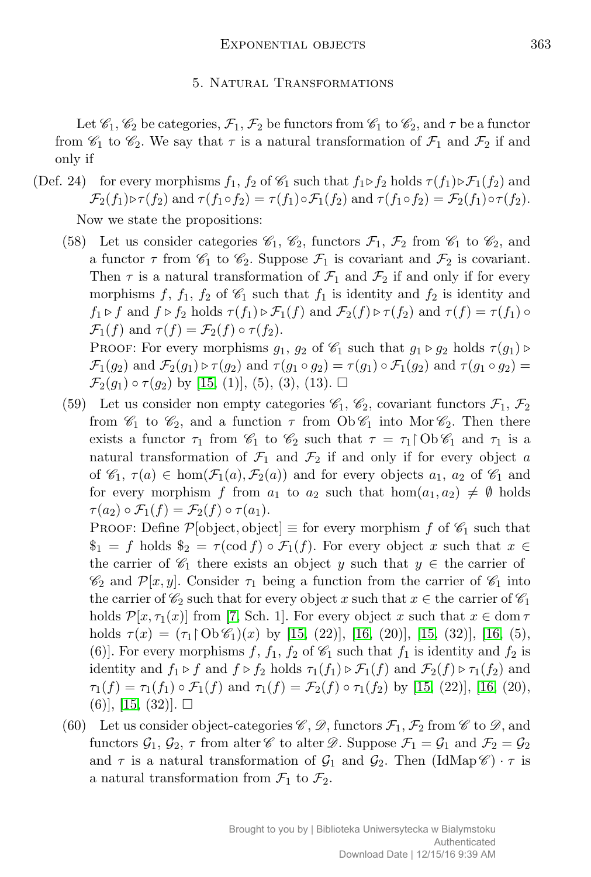### 5. Natural Transformations

Let  $\mathcal{C}_1$ ,  $\mathcal{C}_2$  be categories,  $\mathcal{F}_1$ ,  $\mathcal{F}_2$  be functors from  $\mathcal{C}_1$  to  $\mathcal{C}_2$ , and  $\tau$  be a functor from  $\mathscr{C}_1$  to  $\mathscr{C}_2$ . We say that  $\tau$  is a natural transformation of  $\mathcal{F}_1$  and  $\mathcal{F}_2$  if and only if

(Def. 24) for every morphisms  $f_1$ ,  $f_2$  of  $\mathcal{C}_1$  such that  $f_1 \triangleright f_2$  holds  $\tau(f_1) \triangleright \mathcal{F}_1(f_2)$  and  $\mathcal{F}_2(f_1) \triangleright \tau(f_2)$  and  $\tau(f_1 \circ f_2) = \tau(f_1) \circ \mathcal{F}_1(f_2)$  and  $\tau(f_1 \circ f_2) = \mathcal{F}_2(f_1) \circ \tau(f_2)$ . Now we state the propositions:

(58) Let us consider categories  $\mathcal{C}_1$ ,  $\mathcal{C}_2$ , functors  $\mathcal{F}_1$ ,  $\mathcal{F}_2$  from  $\mathcal{C}_1$  to  $\mathcal{C}_2$ , and a functor  $\tau$  from  $\mathscr{C}_1$  to  $\mathscr{C}_2$ . Suppose  $\mathscr{F}_1$  is covariant and  $\mathscr{F}_2$  is covariant. Then  $\tau$  is a natural transformation of  $\mathcal{F}_1$  and  $\mathcal{F}_2$  if and only if for every morphisms  $f$ ,  $f_1$ ,  $f_2$  of  $\mathcal{C}_1$  such that  $f_1$  is identity and  $f_2$  is identity and *f*<sub>1</sub>  $\triangleright$  *f* and *f*  $\triangleright$  *f*<sub>2</sub> holds  $\tau(f_1) \triangleright \mathcal{F}_1(f)$  and  $\mathcal{F}_2(f) \triangleright \tau(f_2)$  and  $\tau(f) = \tau(f_1) \circ$  $\mathcal{F}_1(f)$  and  $\tau(f) = \mathcal{F}_2(f) \circ \tau(f_2)$ . PROOF: For every morphisms  $g_1$ ,  $g_2$  of  $\mathcal{C}_1$  such that  $g_1 \triangleright g_2$  holds  $\tau(g_1) \triangleright$ 

 $\mathcal{F}_1(g_2)$  and  $\mathcal{F}_2(g_1) \triangleright \tau(g_2)$  and  $\tau(g_1 \circ g_2) = \tau(g_1) \circ \mathcal{F}_1(g_2)$  and  $\tau(g_1 \circ g_2) =$ *F*<sub>2</sub>(*g*<sub>1</sub>)  $\circ$  *τ*(*g*<sub>2</sub>) by [\[15,](#page-18-6) (1)], (5), (3), (13). □

(59) Let us consider non empty categories  $\mathscr{C}_1$ ,  $\mathscr{C}_2$ , covariant functors  $\mathcal{F}_1$ ,  $\mathcal{F}_2$ from  $\mathcal{C}_1$  to  $\mathcal{C}_2$ , and a function  $\tau$  from  $\text{Ob } \mathcal{C}_1$  into Mor  $\mathcal{C}_2$ . Then there exists a functor  $\tau_1$  from  $\mathcal{C}_1$  to  $\mathcal{C}_2$  such that  $\tau = \tau_1 \n\upharpoonright \n\bigcirc \mathcal{C}_1$  and  $\tau_1$  is a natural transformation of  $\mathcal{F}_1$  and  $\mathcal{F}_2$  if and only if for every object *a* of  $\mathscr{C}_1$ ,  $\tau(a) \in \text{hom}(\mathcal{F}_1(a), \mathcal{F}_2(a))$  and for every objects  $a_1, a_2$  of  $\mathscr{C}_1$  and for every morphism *f* from  $a_1$  to  $a_2$  such that  $hom(a_1, a_2) \neq \emptyset$  holds  $\tau(a_2) \circ \mathcal{F}_1(f) = \mathcal{F}_2(f) \circ \tau(a_1).$ 

PROOF: Define  $\mathcal{P}[\text{object}, \text{object}] \equiv \text{for every morphism } f \text{ of } \mathcal{C}_1 \text{ such that }$  $\$_1 = f$  holds  $\$_2 = \tau(\text{cod } f) \circ \mathcal{F}_1(f)$ . For every object *x* such that  $x \in$ the carrier of  $\mathcal{C}_1$  there exists an object *y* such that  $y \in$  the carrier of  $\mathscr{C}_2$  and  $\mathcal{P}[x, y]$ . Consider  $\tau_1$  being a function from the carrier of  $\mathscr{C}_1$  into the carrier of  $\mathcal{C}_2$  such that for every object *x* such that  $x \in \mathbb{R}$  carrier of  $\mathcal{C}_1$ holds  $\mathcal{P}[x,\tau_1(x)]$  from [\[7,](#page-18-11) Sch. 1]. For every object x such that  $x \in \text{dom } \tau$ holds  $\tau(x) = (\tau_1 \restriction 0 \lor \mathscr{C}_1)(x)$  by [\[15,](#page-18-6) (22)], [\[16,](#page-18-7) (20)], [15, (32)], [16, (5), (6)]. For every morphisms  $f$ ,  $f_1$ ,  $f_2$  of  $\mathcal{C}_1$  such that  $f_1$  is identity and  $f_2$  is identity and  $f_1 \triangleright f$  and  $f \triangleright f_2$  holds  $\tau_1(f_1) \triangleright \mathcal{F}_1(f)$  and  $\mathcal{F}_2(f) \triangleright \tau_1(f_2)$  and  $\tau_1(f) = \tau_1(f_1) \circ \mathcal{F}_1(f)$  and  $\tau_1(f) = \mathcal{F}_2(f) \circ \tau_1(f_2)$  by [\[15,](#page-18-6) (22)], [\[16,](#page-18-7) (20),  $(6)$ ,  $[15, (32)]$  $[15, (32)]$ .  $\square$ 

(60) Let us consider object-categories  $\mathscr{C}, \mathscr{D}$ , functors  $\mathscr{F}_1, \mathscr{F}_2$  from  $\mathscr{C}$  to  $\mathscr{D}$ , and functors  $\mathcal{G}_1$ ,  $\mathcal{G}_2$ ,  $\tau$  from alter  $\mathcal{C}$  to alter  $\mathcal{D}$ . Suppose  $\mathcal{F}_1 = \mathcal{G}_1$  and  $\mathcal{F}_2 = \mathcal{G}_2$ and  $\tau$  is a natural transformation of  $\mathcal{G}_1$  and  $\mathcal{G}_2$ . Then  $(\text{IdMap}\,\mathscr{C}) \cdot \tau$  is a natural transformation from  $\mathcal{F}_1$  to  $\mathcal{F}_2$ .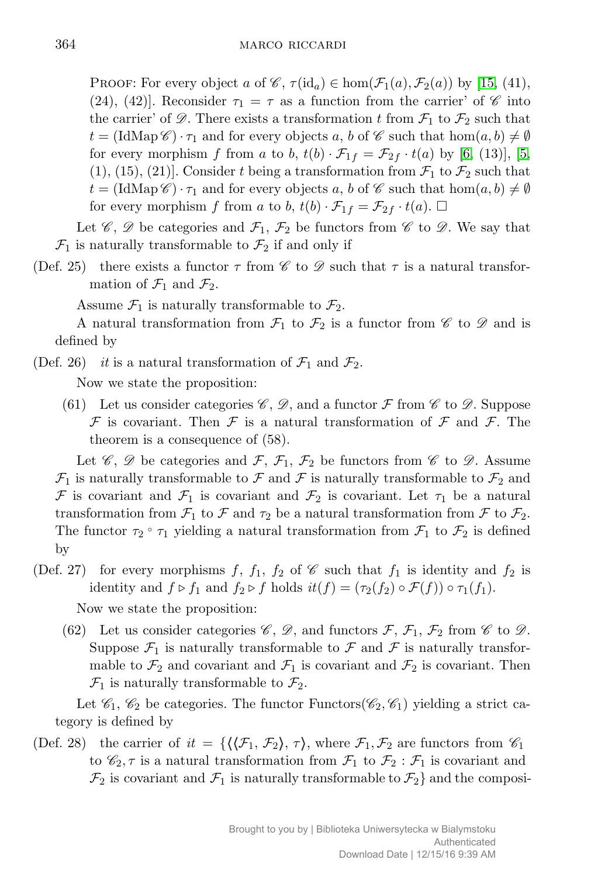PROOF: For every object *a* of  $\mathscr{C}$ ,  $\tau(\mathrm{id}_a) \in \hom(\mathcal{F}_1(a), \mathcal{F}_2(a))$  by [\[15,](#page-18-6) (41), (24), (42). Reconsider  $\tau_1 = \tau$  as a function from the carrier' of  $\mathscr C$  into the carrier' of  $\mathscr{D}$ . There exists a transformation t from  $\mathcal{F}_1$  to  $\mathcal{F}_2$  such that  $t = (\text{IdMap }\mathscr{C}) \cdot \tau_1$  and for every objects *a*, *b* of  $\mathscr{C}$  such that  $\text{hom}(a, b) \neq \emptyset$ for every morphism *f* from *a* to *b*,  $t(b) \cdot \mathcal{F}_{1f} = \mathcal{F}_{2f} \cdot t(a)$  by [\[6,](#page-18-10) (13)], [\[5,](#page-18-5)  $(1), (15), (21)$ . Consider *t* being a transformation from  $\mathcal{F}_1$  to  $\mathcal{F}_2$  such that  $t = (\text{IdMap }\mathscr{C}) \cdot \tau_1$  and for every objects *a*, *b* of  $\mathscr{C}$  such that  $\text{hom}(a, b) \neq \emptyset$ for every morphism *f* from *a* to *b*,  $t(b) \cdot \mathcal{F}_{1f} = \mathcal{F}_{2f} \cdot t(a)$ .  $\Box$ 

Let  $\mathscr{C}, \mathscr{D}$  be categories and  $\mathcal{F}_1, \mathcal{F}_2$  be functors from  $\mathscr{C}$  to  $\mathscr{D}$ . We say that  $\mathcal{F}_1$  is naturally transformable to  $\mathcal{F}_2$  if and only if

(Def. 25) there exists a functor  $\tau$  from  $\mathscr C$  to  $\mathscr D$  such that  $\tau$  is a natural transformation of  $\mathcal{F}_1$  and  $\mathcal{F}_2$ .

Assume  $\mathcal{F}_1$  is naturally transformable to  $\mathcal{F}_2$ .

A natural transformation from  $\mathcal{F}_1$  to  $\mathcal{F}_2$  is a functor from  $\mathscr C$  to  $\mathscr D$  and is defined by

(Def. 26) *it* is a natural transformation of  $\mathcal{F}_1$  and  $\mathcal{F}_2$ .

Now we state the proposition:

(61) Let us consider categories  $\mathscr{C}, \mathscr{D}$ , and a functor  $\mathscr{F}$  from  $\mathscr{C}$  to  $\mathscr{D}$ . Suppose  $F$  is covariant. Then  $F$  is a natural transformation of  $F$  and  $F$ . The theorem is a consequence of (58).

Let  $\mathscr{C}, \mathscr{D}$  be categories and  $\mathcal{F}, \mathcal{F}_1, \mathcal{F}_2$  be functors from  $\mathscr{C}$  to  $\mathscr{D}$ . Assume  $\mathcal{F}_1$  is naturally transformable to  $\mathcal F$  and  $\mathcal F$  is naturally transformable to  $\mathcal{F}_2$  and *F* is covariant and  $\mathcal{F}_1$  is covariant and  $\mathcal{F}_2$  is covariant. Let  $\tau_1$  be a natural transformation from  $\mathcal{F}_1$  to  $\mathcal{F}$  and  $\tau_2$  be a natural transformation from  $\mathcal{F}$  to  $\mathcal{F}_2$ . The functor  $\tau_2 \circ \tau_1$  yielding a natural transformation from  $\mathcal{F}_1$  to  $\mathcal{F}_2$  is defined by

- (Def. 27) for every morphisms  $f, f_1, f_2$  of  $\mathscr C$  such that  $f_1$  is identity and  $f_2$  is identity and  $f \triangleright f_1$  and  $f_2 \triangleright f$  holds  $it(f) = (\tau_2(f_2) \circ \mathcal{F}(f)) \circ \tau_1(f_1)$ . Now we state the proposition:
	- (62) Let us consider categories  $\mathscr{C}, \mathscr{D}$ , and functors  $\mathscr{F}, \mathscr{F}_1, \mathscr{F}_2$  from  $\mathscr{C}$  to  $\mathscr{D}$ . Suppose  $\mathcal{F}_1$  is naturally transformable to  $\mathcal F$  and  $\mathcal F$  is naturally transformable to  $\mathcal{F}_2$  and covariant and  $\mathcal{F}_1$  is covariant and  $\mathcal{F}_2$  is covariant. Then  $\mathcal{F}_1$  is naturally transformable to  $\mathcal{F}_2$ .

Let  $\mathcal{C}_1$ ,  $\mathcal{C}_2$  be categories. The functor Functors( $\mathcal{C}_2$ ,  $\mathcal{C}_1$ ) yielding a strict category is defined by

(Def. 28) the carrier of  $it = \{(\langle \mathcal{F}_1, \mathcal{F}_2 \rangle, \tau), \text{ where } \mathcal{F}_1, \mathcal{F}_2 \text{ are functors from } \mathcal{C}_1\}$ to  $\mathscr{C}_2, \tau$  is a natural transformation from  $\mathcal{F}_1$  to  $\mathcal{F}_2$ :  $\mathcal{F}_1$  is covariant and  $\mathcal{F}_2$  is covariant and  $\mathcal{F}_1$  is naturally transformable to  $\mathcal{F}_2$  and the composi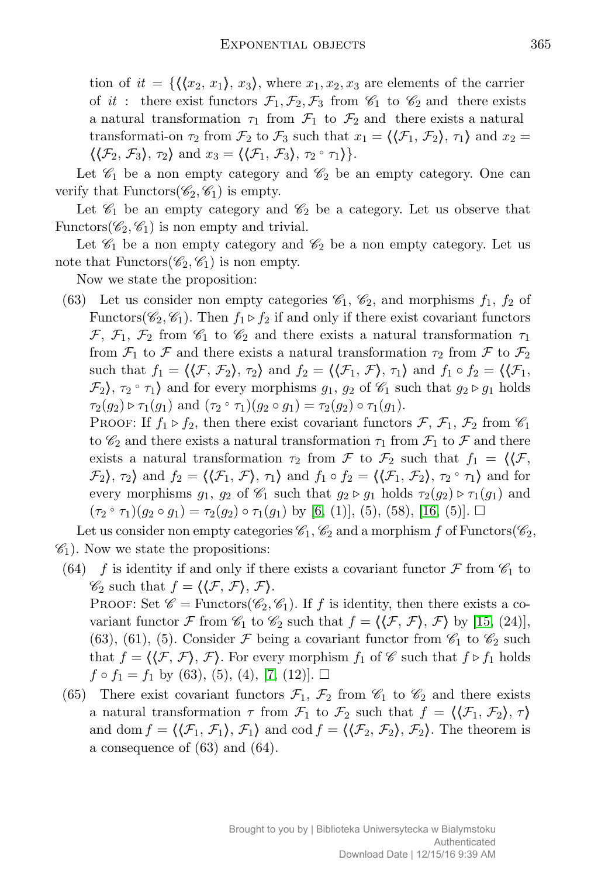tion of  $it = \{\langle \langle x_2, x_1 \rangle, x_3 \rangle\}$ , where  $x_1, x_2, x_3$  are elements of the carrier of *it* : there exist functors  $\mathcal{F}_1, \mathcal{F}_2, \mathcal{F}_3$  from  $\mathcal{C}_1$  to  $\mathcal{C}_2$  and there exists a natural transformation  $\tau_1$  from  $\mathcal{F}_1$  to  $\mathcal{F}_2$  and there exists a natural transformation  $\tau_2$  from  $\mathcal{F}_2$  to  $\mathcal{F}_3$  such that  $x_1 = \langle \langle \mathcal{F}_1, \mathcal{F}_2 \rangle, \tau_1 \rangle$  and  $x_2 =$  $\langle \langle \mathcal{F}_2, \mathcal{F}_3 \rangle, \tau_2 \rangle$  and  $x_3 = \langle \langle \mathcal{F}_1, \mathcal{F}_3 \rangle, \tau_2 \circ \tau_1 \rangle$ .

Let  $\mathscr{C}_1$  be a non empty category and  $\mathscr{C}_2$  be an empty category. One can verify that Functors( $\mathscr{C}_2, \mathscr{C}_1$ ) is empty.

Let  $\mathscr{C}_1$  be an empty category and  $\mathscr{C}_2$  be a category. Let us observe that Functors( $\mathscr{C}_2, \mathscr{C}_1$ ) is non empty and trivial.

Let  $\mathcal{C}_1$  be a non empty category and  $\mathcal{C}_2$  be a non empty category. Let us note that Functors( $\mathcal{C}_2, \mathcal{C}_1$ ) is non empty.

Now we state the proposition:

(63) Let us consider non empty categories  $\mathcal{C}_1$ ,  $\mathcal{C}_2$ , and morphisms  $f_1$ ,  $f_2$  of Functors( $\mathcal{C}_2, \mathcal{C}_1$ ). Then  $f_1 \triangleright f_2$  if and only if there exist covariant functors *F*,  $\mathcal{F}_1$ ,  $\mathcal{F}_2$  from  $\mathcal{C}_1$  to  $\mathcal{C}_2$  and there exists a natural transformation  $\tau_1$ from  $\mathcal{F}_1$  to  $\mathcal{F}$  and there exists a natural transformation  $\tau_2$  from  $\mathcal{F}$  to  $\mathcal{F}_2$ such that  $f_1 = \langle \langle \mathcal{F}, \mathcal{F}_2 \rangle, \tau_2 \rangle$  and  $f_2 = \langle \langle \mathcal{F}_1, \mathcal{F} \rangle, \tau_1 \rangle$  and  $f_1 \circ f_2 = \langle \langle \mathcal{F}_1, \mathcal{F} \rangle, \tau_2 \rangle$  $\mathcal{F}_2$ ,  $\tau_2 \circ \tau_1$  and for every morphisms  $g_1, g_2$  of  $\mathcal{C}_1$  such that  $g_2 \triangleright g_1$  holds  $\tau_2(g_2) \triangleright \tau_1(g_1)$  and  $(\tau_2 \circ \tau_1)(g_2 \circ g_1) = \tau_2(g_2) \circ \tau_1(g_1)$ .

PROOF: If  $f_1 \triangleright f_2$ , then there exist covariant functors  $\mathcal{F}, \mathcal{F}_1, \mathcal{F}_2$  from  $\mathscr{C}_1$ to  $\mathscr{C}_2$  and there exists a natural transformation  $\tau_1$  from  $\mathcal{F}_1$  to  $\mathcal{F}$  and there exists a natural transformation  $\tau_2$  from  $\mathcal F$  to  $\mathcal F_2$  such that  $f_1 = \langle \mathcal F, \mathcal F \rangle$  $\mathcal{F}_2$ *)*,  $\tau_2$ *i* and  $f_2 = \langle \langle \mathcal{F}_1, \mathcal{F}_2 \rangle$ ,  $\tau_1 \rangle$  and  $f_1 \circ f_2 = \langle \langle \mathcal{F}_1, \mathcal{F}_2 \rangle$ ,  $\tau_2 \circ \tau_1 \rangle$  and for every morphisms  $g_1$ ,  $g_2$  of  $\mathcal{C}_1$  such that  $g_2 \triangleright g_1$  holds  $\tau_2(g_2) \triangleright \tau_1(g_1)$  and  $(\tau_2 \circ \tau_1)(g_2 \circ g_1) = \tau_2(g_2) \circ \tau_1(g_1)$  by [\[6,](#page-18-10) (1)], (5), (58), [\[16,](#page-18-7) (5)].  $\Box$ 

Let us consider non empty categories  $\mathscr{C}_1$ ,  $\mathscr{C}_2$  and a morphism *f* of Functors( $\mathscr{C}_2$ ,  $\mathscr{C}_1$ ). Now we state the propositions:

(64) *f* is identity if and only if there exists a covariant functor  $\mathcal F$  from  $\mathcal C_1$  to  $\mathscr{C}_2$  such that  $f = \langle \langle \mathcal{F}, \mathcal{F} \rangle, \mathcal{F} \rangle$ .

PROOF: Set  $\mathscr{C} =$  Functors( $\mathscr{C}_2, \mathscr{C}_1$ ). If *f* is identity, then there exists a covariant functor *F* from  $\mathcal{C}_1$  to  $\mathcal{C}_2$  such that  $f = \langle \langle \mathcal{F}, \mathcal{F} \rangle, \mathcal{F} \rangle$  by [\[15,](#page-18-6) (24)], (63), (61), (5). Consider  $\mathcal F$  being a covariant functor from  $\mathscr C_1$  to  $\mathscr C_2$  such that  $f = \langle \langle \mathcal{F}, \mathcal{F} \rangle, \mathcal{F} \rangle$ . For every morphism  $f_1$  of  $\mathcal{C}$  such that  $f \triangleright f_1$  holds  $f \circ f_1 = f_1$  by (63), (5), (4), [\[7,](#page-18-11) (12)]. □

(65) There exist covariant functors  $\mathcal{F}_1$ ,  $\mathcal{F}_2$  from  $\mathcal{C}_1$  to  $\mathcal{C}_2$  and there exists a natural transformation  $\tau$  from  $\mathcal{F}_1$  to  $\mathcal{F}_2$  such that  $f = \langle \langle \mathcal{F}_1, \mathcal{F}_2 \rangle, \tau \rangle$ and dom  $f = \langle \langle \mathcal{F}_1, \mathcal{F}_1 \rangle, \mathcal{F}_1 \rangle$  and cod  $f = \langle \langle \mathcal{F}_2, \mathcal{F}_2 \rangle, \mathcal{F}_2 \rangle$ . The theorem is a consequence of (63) and (64).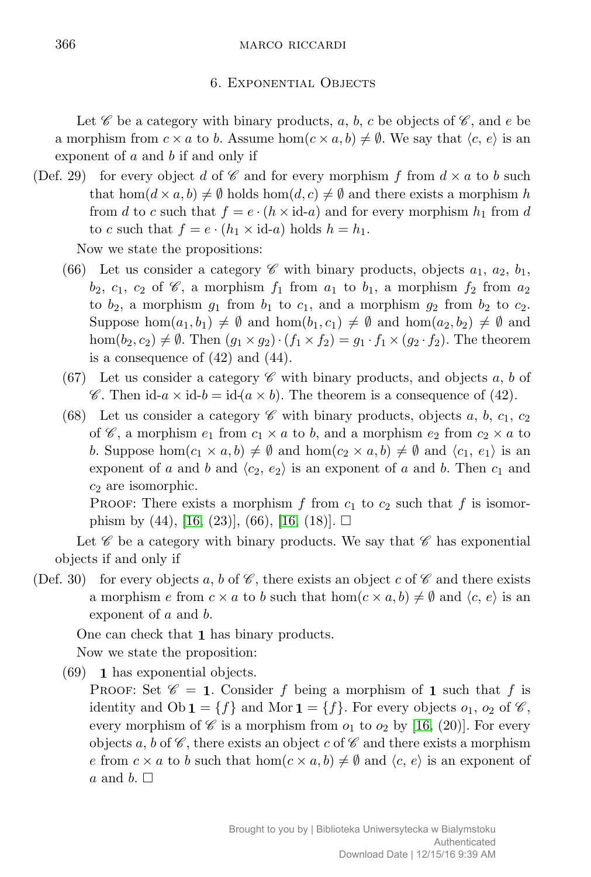## 366 MARCO RICCARDI

#### 6. Exponential Objects

Let  $\mathscr C$  be a category with binary products, a, b, c be objects of  $\mathscr C$ , and e be a morphism from  $c \times a$  to *b*. Assume hom $(c \times a, b) \neq \emptyset$ . We say that  $\langle c, e \rangle$  is an exponent of *a* and *b* if and only if

(Def. 29) for every object *d* of  $\mathscr C$  and for every morphism *f* from  $d \times a$  to *b* such that  $hom(d \times a, b) \neq \emptyset$  holds  $hom(d, c) \neq \emptyset$  and there exists a morphism *h* from *d* to *c* such that  $f = e \cdot (h \times id - a)$  and for every morphism  $h_1$  from *d* to *c* such that  $f = e \cdot (h_1 \times \text{id} - a)$  holds  $h = h_1$ .

Now we state the propositions:

- (66) Let us consider a category  $\mathscr C$  with binary products, objects  $a_1, a_2, b_1$ ,  $b_2$ ,  $c_1$ ,  $c_2$  of  $\mathscr{C}$ , a morphism  $f_1$  from  $a_1$  to  $b_1$ , a morphism  $f_2$  from  $a_2$ to  $b_2$ , a morphism  $g_1$  from  $b_1$  to  $c_1$ , and a morphism  $g_2$  from  $b_2$  to  $c_2$ . Suppose  $hom(a_1, b_1) \neq \emptyset$  and  $hom(b_1, c_1) \neq \emptyset$  and  $hom(a_2, b_2) \neq \emptyset$  and  $hom(b_2, c_2) \neq \emptyset$ . Then  $(g_1 \times g_2) \cdot (f_1 \times f_2) = g_1 \cdot f_1 \times (g_2 \cdot f_2)$ . The theorem is a consequence of (42) and (44).
- (67) Let us consider a category  $\mathscr C$  with binary products, and objects a, b of C. Then  $id-a \times id-b = id(a \times b)$ . The theorem is a consequence of (42).
- (68) Let us consider a category  $\mathscr C$  with binary products, objects *a*, *b*, *c*<sub>1</sub>, *c*<sub>2</sub> of  $\mathscr{C}$ , a morphism  $e_1$  from  $c_1 \times a$  to *b*, and a morphism  $e_2$  from  $c_2 \times a$  to *b*. Suppose hom $(c_1 \times a, b) \neq \emptyset$  and hom $(c_2 \times a, b) \neq \emptyset$  and  $\langle c_1, e_1 \rangle$  is an exponent of *a* and *b* and  $\langle c_2, e_2 \rangle$  is an exponent of *a* and *b*. Then  $c_1$  and *c*<sup>2</sup> are isomorphic.

PROOF: There exists a morphism  $f$  from  $c_1$  to  $c_2$  such that  $f$  is isomorphism by  $(44)$ , [\[16,](#page-18-7)  $(23)$ ],  $(66)$ , [16,  $(18)$ ].  $\square$ 

Let  $\mathscr C$  be a category with binary products. We say that  $\mathscr C$  has exponential objects if and only if

(Def. 30) for every objects a, b of  $\mathscr{C}$ , there exists an object c of  $\mathscr{C}$  and there exists a morphism *e* from  $c \times a$  to *b* such that hom $(c \times a, b) \neq \emptyset$  and  $\langle c, e \rangle$  is an exponent of *a* and *b*.

One can check that **1** has binary products. Now we state the proposition:

(69) **1** has exponential objects.

PROOF: Set  $\mathscr{C} = 1$ . Consider f being a morphism of 1 such that f is identity and  $Ob \mathbf{1} = \{f\}$  and Mor  $\mathbf{1} = \{f\}$ . For every objects  $o_1$ ,  $o_2$  of  $\mathscr{C}$ , every morphism of  $\mathscr C$  is a morphism from  $o_1$  to  $o_2$  by [\[16,](#page-18-7) (20)]. For every objects *a*, *b* of  $\mathscr C$ , there exists an object *c* of  $\mathscr C$  and there exists a morphism *e* from  $c \times a$  to *b* such that hom $(c \times a, b) \neq \emptyset$  and  $\langle c, e \rangle$  is an exponent of *a* and *b*.  $\Box$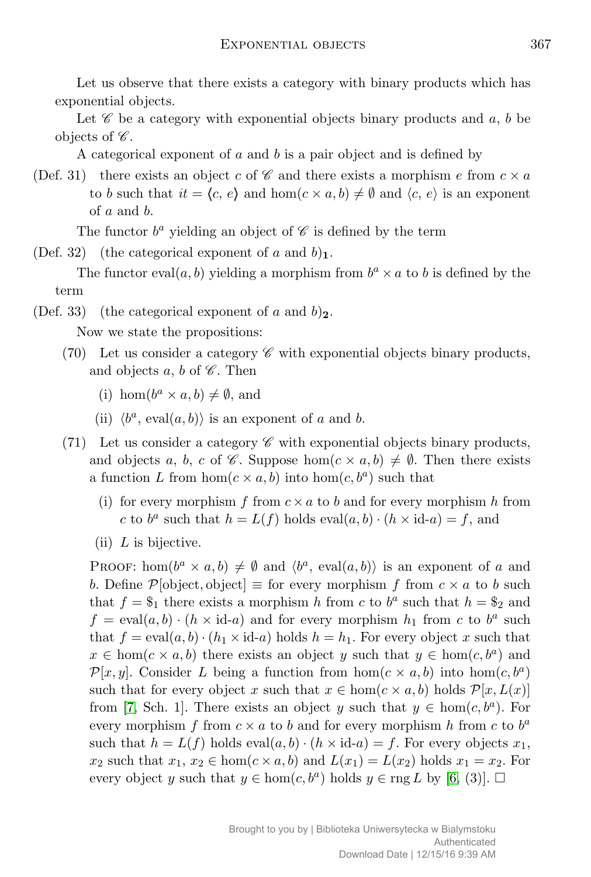Let us observe that there exists a category with binary products which has exponential objects.

Let  $\mathscr C$  be a category with exponential objects binary products and  $a, b$  be objects of  $\mathscr{C}$ .

A categorical exponent of *a* and *b* is a pair object and is defined by

(Def. 31) there exists an object *c* of  $\mathscr C$  and there exists a morphism *e* from  $c \times a$ to *b* such that  $it = \langle c, e \rangle$  and hom $(c \times a, b) \neq \emptyset$  and  $\langle c, e \rangle$  is an exponent of *a* and *b*.

The functor  $b^a$  yielding an object of  $\mathscr C$  is defined by the term

(Def. 32) (the categorical exponent of *a* and  $b$ )<sub>1</sub>.

The functor eval $(a, b)$  yielding a morphism from  $b<sup>a</sup> \times a$  to *b* is defined by the term

(Def. 33) (the categorical exponent of  $a$  and  $b$ )<sub>2</sub>.

Now we state the propositions:

- (70) Let us consider a category  $\mathscr C$  with exponential objects binary products, and objects  $a, b$  of  $\mathscr{C}$ . Then
	- (i) hom $(b^a \times a, b) \neq \emptyset$ , and
	- (ii)  $\langle b^a, \text{eval}(a, b) \rangle$  is an exponent of *a* and *b*.
- (71) Let us consider a category  $\mathscr C$  with exponential objects binary products, and objects *a*, *b*, *c* of  $\mathscr{C}$ . Suppose hom $(c \times a, b) \neq \emptyset$ . Then there exists a function *L* from hom $(c \times a, b)$  into hom $(c, b^a)$  such that
	- (i) for every morphism  $f$  from  $c \times a$  to  $b$  and for every morphism  $h$  from *c* to  $b^a$  such that  $h = L(f)$  holds  $eval(a, b) \cdot (h \times id - a) = f$ , and
	- (ii) *L* is bijective.

PROOF: hom $(b^a \times a, b) \neq \emptyset$  and  $\langle b^a, \text{ eval}(a, b) \rangle$  is an exponent of *a* and *b*. Define  $\mathcal{P}[\text{object}, \text{object}] \equiv \text{for every morphism } f \text{ from } c \times a \text{ to } b \text{ such}$ that  $f = \$_1$  there exists a morphism *h* from *c* to  $b^a$  such that  $h = \$_2$  and  $f = \text{eval}(a, b) \cdot (h \times \text{id}-a)$  and for every morphism  $h_1$  from *c* to  $b^a$  such that  $f = eval(a, b) \cdot (h_1 \times id - a)$  holds  $h = h_1$ . For every object x such that  $x \in \text{hom}(c \times a, b)$  there exists an object *y* such that  $y \in \text{hom}(c, b^a)$  and *P*[*x, y*]. Consider *L* being a function from  $hom(c \times a, b)$  into  $hom(c, b^a)$ such that for every object *x* such that  $x \in \text{hom}(c \times a, b)$  holds  $\mathcal{P}[x, L(x)]$ from [\[7,](#page-18-11) Sch. 1]. There exists an object *y* such that  $y \in \text{hom}(c, b^a)$ . For every morphism  $f$  from  $c \times a$  to  $b$  and for every morphism  $h$  from  $c$  to  $b^a$ such that  $h = L(f)$  holds  $eval(a, b) \cdot (h \times id - a) = f$ . For every objects  $x_1$ , *x*<sub>2</sub> such that  $x_1, x_2 \in \text{hom}(c \times a, b)$  and  $L(x_1) = L(x_2)$  holds  $x_1 = x_2$ . For every object *y* such that  $y \in \text{hom}(c, b^a)$  holds  $y \in \text{rng } L$  by [\[6,](#page-18-10) (3)].  $\Box$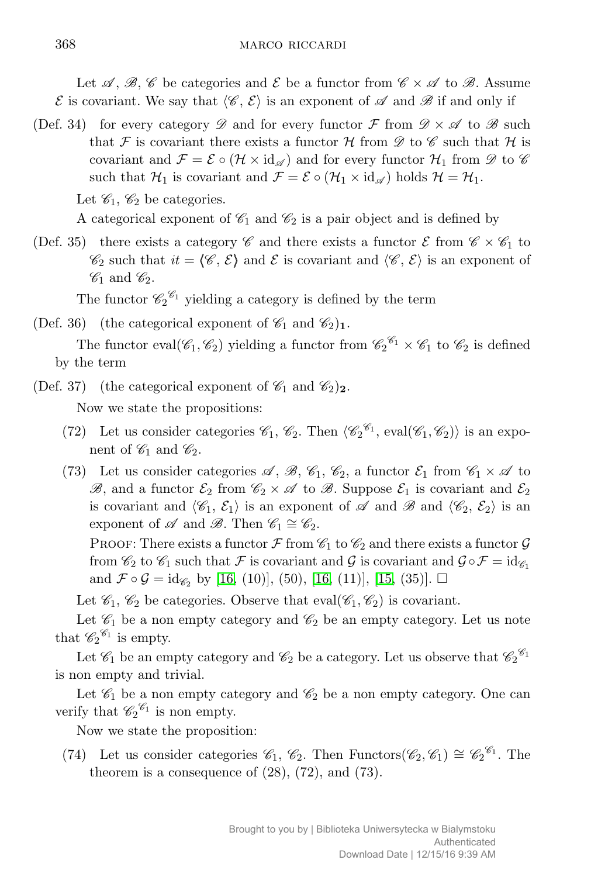Let  $\mathscr{A}, \mathscr{B}, \mathscr{C}$  be categories and  $\mathscr{E}$  be a functor from  $\mathscr{C} \times \mathscr{A}$  to  $\mathscr{B}$ . Assume  $\mathcal E$  is covariant. We say that  $\langle \mathcal C, \mathcal E \rangle$  is an exponent of  $\mathcal A$  and  $\mathcal B$  if and only if

(Def. 34) for every category  $\mathscr D$  and for every functor  $\mathcal F$  from  $\mathscr D \times \mathscr A$  to  $\mathscr B$  such that F is covariant there exists a functor  $\mathcal H$  from  $\mathscr D$  to  $\mathscr C$  such that  $\mathcal H$  is covariant and  $\mathcal{F} = \mathcal{E} \circ (\mathcal{H} \times id_{\mathscr{A}})$  and for every functor  $\mathcal{H}_1$  from  $\mathscr{D}$  to  $\mathscr{C}$ such that  $\mathcal{H}_1$  is covariant and  $\mathcal{F} = \mathcal{E} \circ (\mathcal{H}_1 \times id_{\mathscr{A}})$  holds  $\mathcal{H} = \mathcal{H}_1$ .

Let  $\mathscr{C}_1$ ,  $\mathscr{C}_2$  be categories.

A categorical exponent of  $\mathcal{C}_1$  and  $\mathcal{C}_2$  is a pair object and is defined by

(Def. 35) there exists a category  $\mathscr C$  and there exists a functor  $\mathscr E$  from  $\mathscr C \times \mathscr C_1$  to  $\mathscr{C}_2$  such that  $it = \langle \mathscr{C}, \mathscr{E} \rangle$  and  $\mathscr{E}$  is covariant and  $\langle \mathscr{C}, \mathscr{E} \rangle$  is an exponent of  $\mathscr{C}_1$  and  $\mathscr{C}_2$ .

The functor  $\mathcal{C}_2^{\mathcal{C}_1}$  yielding a category is defined by the term

(Def. 36) (the categorical exponent of  $\mathcal{C}_1$  and  $\mathcal{C}_2$ )<sub>1</sub>.

The functor eval( $\mathscr{C}_1, \mathscr{C}_2$ ) yielding a functor from  $\mathscr{C}_2^{\mathscr{C}_1} \times \mathscr{C}_1$  to  $\mathscr{C}_2$  is defined by the term

(Def. 37) (the categorical exponent of  $\mathscr{C}_1$  and  $\mathscr{C}_2)_{2}$ .

Now we state the propositions:

- (72) Let us consider categories  $\mathscr{C}_1$ ,  $\mathscr{C}_2$ . Then  $\langle \mathscr{C}_2^{\mathscr{C}_1}$ , eval $(\mathscr{C}_1, \mathscr{C}_2) \rangle$  is an exponent of  $\mathscr{C}_1$  and  $\mathscr{C}_2$ .
- (73) Let us consider categories  $\mathscr{A}, \mathscr{B}, \mathscr{C}_1, \mathscr{C}_2$ , a functor  $\mathscr{E}_1$  from  $\mathscr{C}_1 \times \mathscr{A}$  to  $\mathscr{B}$ , and a functor  $\mathcal{E}_2$  from  $\mathscr{C}_2 \times \mathscr{A}$  to  $\mathscr{B}$ . Suppose  $\mathcal{E}_1$  is covariant and  $\mathcal{E}_2$ is covariant and  $\langle \mathcal{C}_1, \mathcal{E}_1 \rangle$  is an exponent of  $\mathcal A$  and  $\mathcal B$  and  $\langle \mathcal{C}_2, \mathcal{E}_2 \rangle$  is an exponent of  $\mathscr A$  and  $\mathscr B$ . Then  $\mathscr C_1 \cong \mathscr C_2$ .

PROOF: There exists a functor  $\mathcal F$  from  $\mathcal C_1$  to  $\mathcal C_2$  and there exists a functor  $\mathcal G$ from  $\mathcal{C}_2$  to  $\mathcal{C}_1$  such that *F* is covariant and *G* is covariant and  $\mathcal{G} \circ \mathcal{F} = id_{\mathcal{C}_1}$ and  $\mathcal{F} \circ \mathcal{G} = id_{\mathscr{C}_2}$  by [\[16,](#page-18-7) (10)], (50), [16, (11)], [\[15,](#page-18-6) (35)].  $\Box$ 

Let  $\mathscr{C}_1$ ,  $\mathscr{C}_2$  be categories. Observe that eval( $\mathscr{C}_1$ ,  $\mathscr{C}_2$ ) is covariant.

Let  $\mathcal{C}_1$  be a non empty category and  $\mathcal{C}_2$  be an empty category. Let us note that  $\mathscr{C}_2^{\mathscr{C}_1}$  is empty.

Let  $\mathscr{C}_1$  be an empty category and  $\mathscr{C}_2$  be a category. Let us observe that  $\mathscr{C}_2^{\mathscr{C}_1}$ is non empty and trivial.

Let  $\mathcal{C}_1$  be a non empty category and  $\mathcal{C}_2$  be a non empty category. One can verify that  $\mathscr{C}_2^{\mathscr{C}_1}$  is non empty.

Now we state the proposition:

(74) Let us consider categories  $\mathcal{C}_1$ ,  $\mathcal{C}_2$ . Then Functors( $\mathcal{C}_2$ ,  $\mathcal{C}_1$ )  $\cong \mathcal{C}_2^{\mathcal{C}_1}$ . The theorem is a consequence of  $(28)$ ,  $(72)$ , and  $(73)$ .